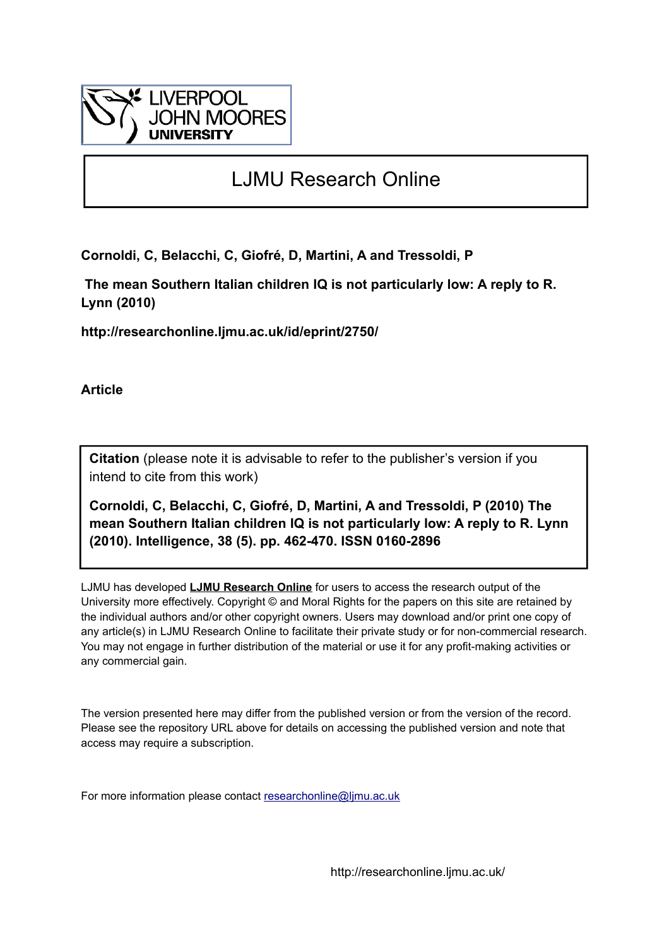

# LJMU Research Online

**Cornoldi, C, Belacchi, C, Giofré, D, Martini, A and Tressoldi, P**

 **The mean Southern Italian children IQ is not particularly low: A reply to R. Lynn (2010)**

**http://researchonline.ljmu.ac.uk/id/eprint/2750/**

**Article**

**Citation** (please note it is advisable to refer to the publisher's version if you intend to cite from this work)

**Cornoldi, C, Belacchi, C, Giofré, D, Martini, A and Tressoldi, P (2010) The mean Southern Italian children IQ is not particularly low: A reply to R. Lynn (2010). Intelligence, 38 (5). pp. 462-470. ISSN 0160-2896** 

LJMU has developed **[LJMU Research Online](http://researchonline.ljmu.ac.uk/)** for users to access the research output of the University more effectively. Copyright © and Moral Rights for the papers on this site are retained by the individual authors and/or other copyright owners. Users may download and/or print one copy of any article(s) in LJMU Research Online to facilitate their private study or for non-commercial research. You may not engage in further distribution of the material or use it for any profit-making activities or any commercial gain.

The version presented here may differ from the published version or from the version of the record. Please see the repository URL above for details on accessing the published version and note that access may require a subscription.

For more information please contact [researchonline@ljmu.ac.uk](mailto:researchonline@ljmu.ac.uk)

http://researchonline.ljmu.ac.uk/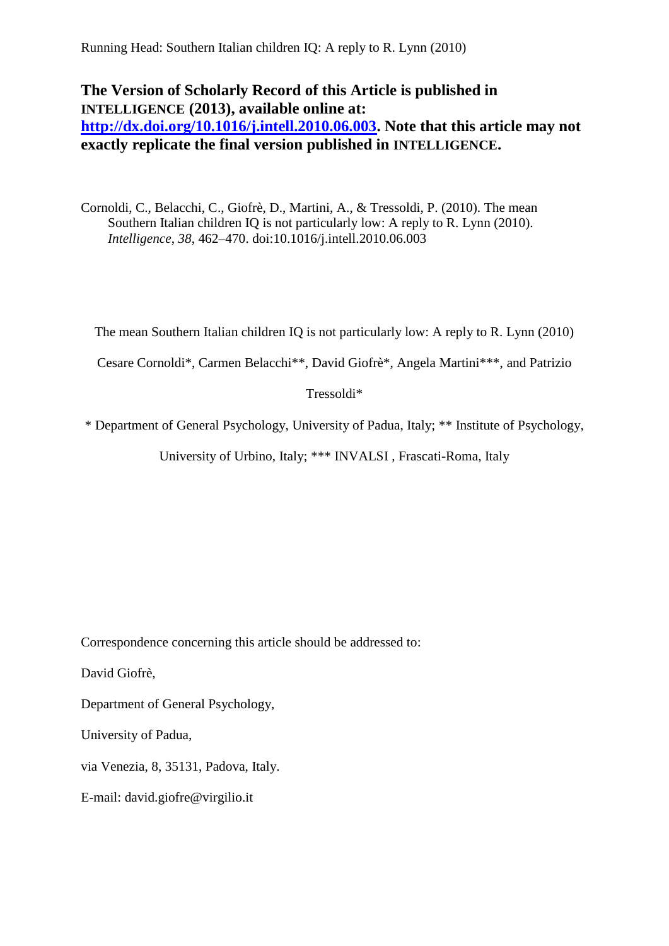Running Head: Southern Italian children IQ: A reply to R. Lynn (2010)

# **The Version of Scholarly Record of this Article is published in INTELLIGENCE (2013), available online at: [http://dx.doi.org/10.1016/j.intell.2010.06.003.](http://dx.doi.org/10.1016/j.intell.2010.06.003) Note that this article may not**

# **exactly replicate the final version published in INTELLIGENCE.**

Cornoldi, C., Belacchi, C., Giofrè, D., Martini, A., & Tressoldi, P. (2010). The mean Southern Italian children IQ is not particularly low: A reply to R. Lynn (2010). *Intelligence*, *38*, 462–470. doi:10.1016/j.intell.2010.06.003

The mean Southern Italian children IQ is not particularly low: A reply to R. Lynn (2010)

Cesare Cornoldi\*, Carmen Belacchi\*\*, David Giofrè\*, Angela Martini\*\*\*, and Patrizio

Tressoldi\*

\* Department of General Psychology, University of Padua, Italy; \*\* Institute of Psychology,

University of Urbino, Italy; \*\*\* INVALSI , Frascati-Roma, Italy

Correspondence concerning this article should be addressed to:

David Giofrè,

Department of General Psychology,

University of Padua,

via Venezia, 8, 35131, Padova, Italy.

E-mail: david.giofre@virgilio.it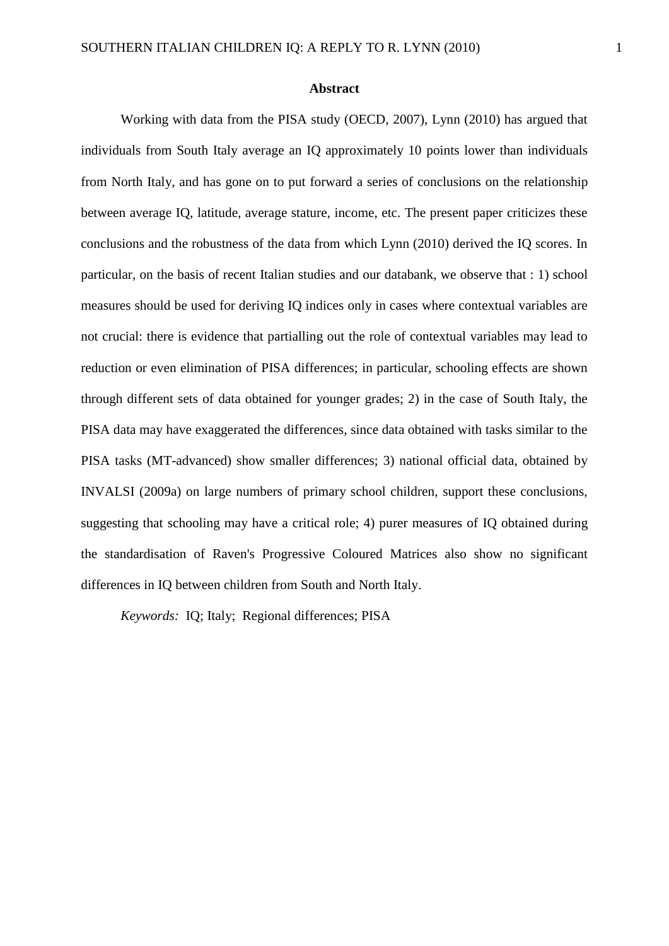#### **Abstract**

Working with data from the PISA study (OECD, 2007), Lynn (2010) has argued that individuals from South Italy average an IQ approximately 10 points lower than individuals from North Italy, and has gone on to put forward a series of conclusions on the relationship between average IQ, latitude, average stature, income, etc. The present paper criticizes these conclusions and the robustness of the data from which Lynn (2010) derived the IQ scores. In particular, on the basis of recent Italian studies and our databank, we observe that : 1) school measures should be used for deriving IQ indices only in cases where contextual variables are not crucial: there is evidence that partialling out the role of contextual variables may lead to reduction or even elimination of PISA differences; in particular, schooling effects are shown through different sets of data obtained for younger grades; 2) in the case of South Italy, the PISA data may have exaggerated the differences, since data obtained with tasks similar to the PISA tasks (MT-advanced) show smaller differences; 3) national official data, obtained by INVALSI (2009a) on large numbers of primary school children, support these conclusions, suggesting that schooling may have a critical role; 4) purer measures of IQ obtained during the standardisation of Raven's Progressive Coloured Matrices also show no significant differences in IQ between children from South and North Italy.

*Keywords:* IQ; Italy; Regional differences; PISA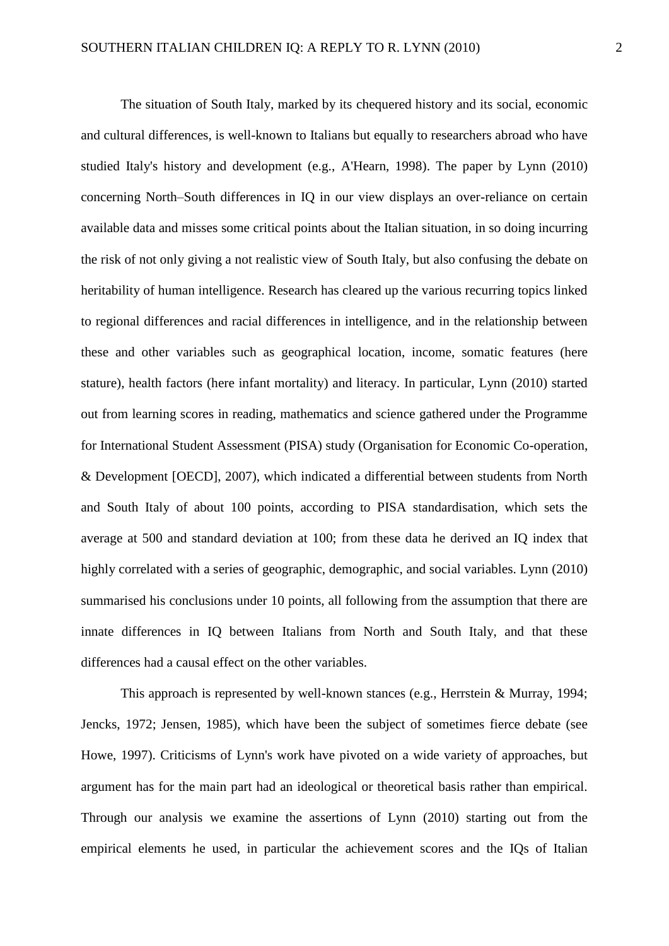The situation of South Italy, marked by its chequered history and its social, economic and cultural differences, is well-known to Italians but equally to researchers abroad who have studied Italy's history and development (e.g., A'Hearn, 1998). The paper by Lynn (2010) concerning North–South differences in IQ in our view displays an over-reliance on certain available data and misses some critical points about the Italian situation, in so doing incurring the risk of not only giving a not realistic view of South Italy, but also confusing the debate on heritability of human intelligence. Research has cleared up the various recurring topics linked to regional differences and racial differences in intelligence, and in the relationship between these and other variables such as geographical location, income, somatic features (here stature), health factors (here infant mortality) and literacy. In particular, Lynn (2010) started out from learning scores in reading, mathematics and science gathered under the Programme for International Student Assessment (PISA) study (Organisation for Economic Co-operation, & Development [OECD], 2007), which indicated a differential between students from North and South Italy of about 100 points, according to PISA standardisation, which sets the average at 500 and standard deviation at 100; from these data he derived an IQ index that highly correlated with a series of geographic, demographic, and social variables. Lynn (2010) summarised his conclusions under 10 points, all following from the assumption that there are innate differences in IQ between Italians from North and South Italy, and that these differences had a causal effect on the other variables.

This approach is represented by well-known stances (e.g., Herrstein & Murray, 1994; Jencks, 1972; Jensen, 1985), which have been the subject of sometimes fierce debate (see Howe, 1997). Criticisms of Lynn's work have pivoted on a wide variety of approaches, but argument has for the main part had an ideological or theoretical basis rather than empirical. Through our analysis we examine the assertions of Lynn (2010) starting out from the empirical elements he used, in particular the achievement scores and the IQs of Italian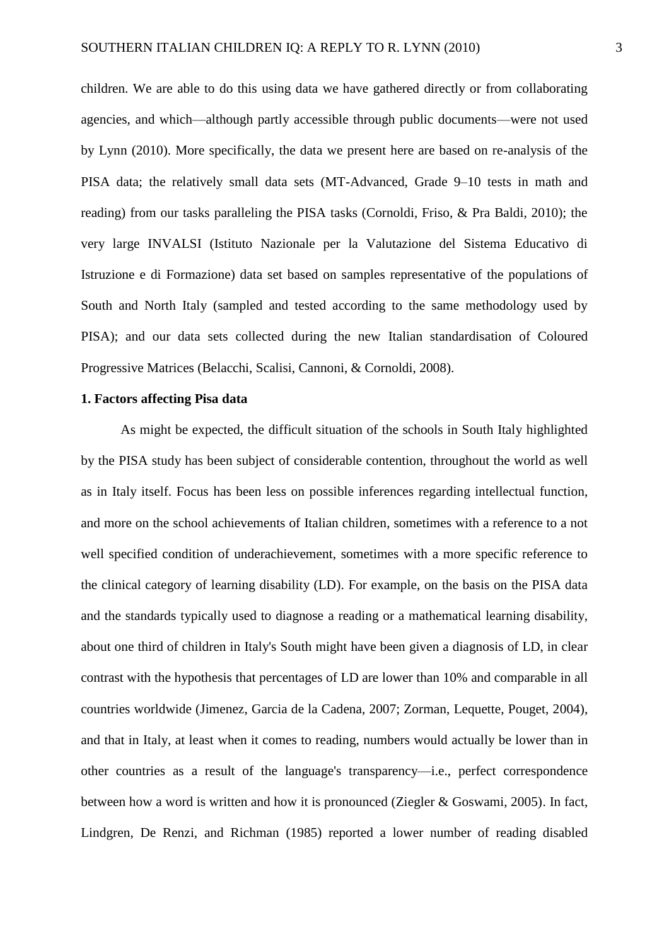children. We are able to do this using data we have gathered directly or from collaborating agencies, and which—although partly accessible through public documents—were not used by Lynn (2010). More specifically, the data we present here are based on re-analysis of the PISA data; the relatively small data sets (MT-Advanced, Grade 9–10 tests in math and reading) from our tasks paralleling the PISA tasks (Cornoldi, Friso, & Pra Baldi, 2010); the very large INVALSI (Istituto Nazionale per la Valutazione del Sistema Educativo di Istruzione e di Formazione) data set based on samples representative of the populations of South and North Italy (sampled and tested according to the same methodology used by PISA); and our data sets collected during the new Italian standardisation of Coloured Progressive Matrices (Belacchi, Scalisi, Cannoni, & Cornoldi, 2008).

### **1. Factors affecting Pisa data**

As might be expected, the difficult situation of the schools in South Italy highlighted by the PISA study has been subject of considerable contention, throughout the world as well as in Italy itself. Focus has been less on possible inferences regarding intellectual function, and more on the school achievements of Italian children, sometimes with a reference to a not well specified condition of underachievement, sometimes with a more specific reference to the clinical category of learning disability (LD). For example, on the basis on the PISA data and the standards typically used to diagnose a reading or a mathematical learning disability, about one third of children in Italy's South might have been given a diagnosis of LD, in clear contrast with the hypothesis that percentages of LD are lower than 10% and comparable in all countries worldwide (Jimenez, Garcia de la Cadena, 2007; Zorman, Lequette, Pouget, 2004), and that in Italy, at least when it comes to reading, numbers would actually be lower than in other countries as a result of the language's transparency—i.e., perfect correspondence between how a word is written and how it is pronounced (Ziegler & Goswami, 2005). In fact, Lindgren, De Renzi, and Richman (1985) reported a lower number of reading disabled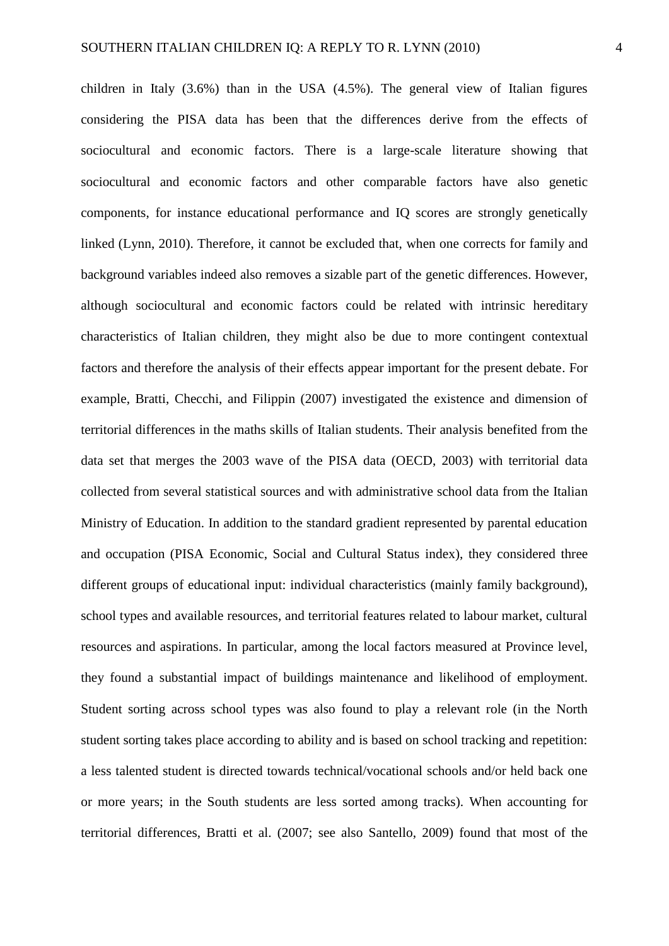children in Italy (3.6%) than in the USA (4.5%). The general view of Italian figures considering the PISA data has been that the differences derive from the effects of sociocultural and economic factors. There is a large-scale literature showing that sociocultural and economic factors and other comparable factors have also genetic components, for instance educational performance and IQ scores are strongly genetically linked (Lynn, 2010). Therefore, it cannot be excluded that, when one corrects for family and background variables indeed also removes a sizable part of the genetic differences. However, although sociocultural and economic factors could be related with intrinsic hereditary characteristics of Italian children, they might also be due to more contingent contextual factors and therefore the analysis of their effects appear important for the present debate. For example, Bratti, Checchi, and Filippin (2007) investigated the existence and dimension of territorial differences in the maths skills of Italian students. Their analysis benefited from the data set that merges the 2003 wave of the PISA data (OECD, 2003) with territorial data collected from several statistical sources and with administrative school data from the Italian Ministry of Education. In addition to the standard gradient represented by parental education and occupation (PISA Economic, Social and Cultural Status index), they considered three different groups of educational input: individual characteristics (mainly family background), school types and available resources, and territorial features related to labour market, cultural resources and aspirations. In particular, among the local factors measured at Province level, they found a substantial impact of buildings maintenance and likelihood of employment. Student sorting across school types was also found to play a relevant role (in the North student sorting takes place according to ability and is based on school tracking and repetition: a less talented student is directed towards technical/vocational schools and/or held back one or more years; in the South students are less sorted among tracks). When accounting for territorial differences, Bratti et al. (2007; see also Santello, 2009) found that most of the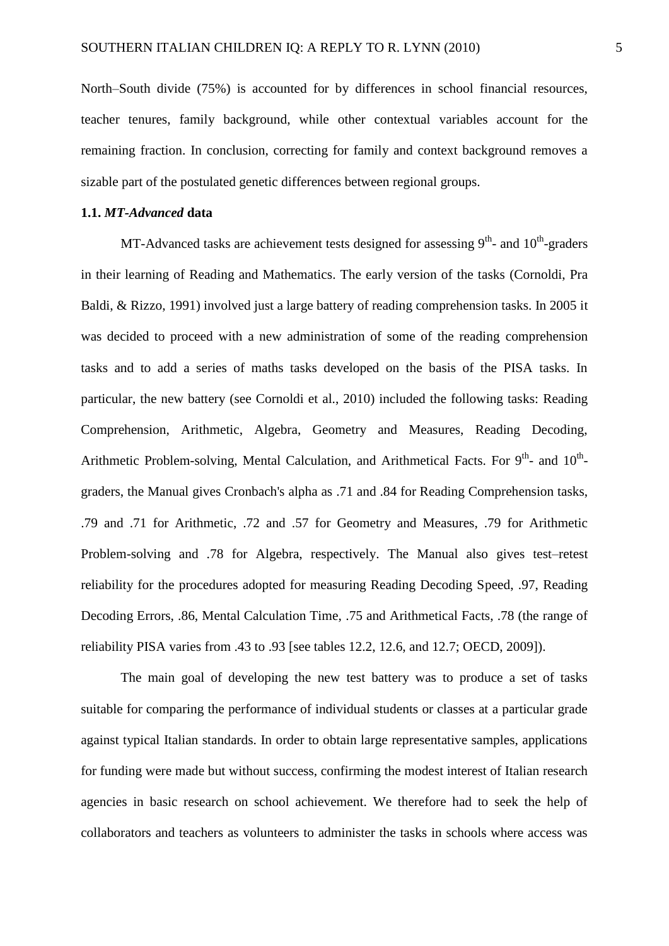North–South divide (75%) is accounted for by differences in school financial resources, teacher tenures, family background, while other contextual variables account for the remaining fraction. In conclusion, correcting for family and context background removes a sizable part of the postulated genetic differences between regional groups.

# **1.1.** *MT-Advanced* **data**

MT-Advanced tasks are achievement tests designed for assessing  $9<sup>th</sup>$ - and  $10<sup>th</sup>$ -graders in their learning of Reading and Mathematics. The early version of the tasks (Cornoldi, Pra Baldi, & Rizzo, 1991) involved just a large battery of reading comprehension tasks. In 2005 it was decided to proceed with a new administration of some of the reading comprehension tasks and to add a series of maths tasks developed on the basis of the PISA tasks. In particular, the new battery (see Cornoldi et al., 2010) included the following tasks: Reading Comprehension, Arithmetic, Algebra, Geometry and Measures, Reading Decoding, Arithmetic Problem-solving, Mental Calculation, and Arithmetical Facts. For  $9<sup>th</sup>$ - and  $10<sup>th</sup>$ graders, the Manual gives Cronbach's alpha as .71 and .84 for Reading Comprehension tasks, .79 and .71 for Arithmetic, .72 and .57 for Geometry and Measures, .79 for Arithmetic Problem-solving and .78 for Algebra, respectively. The Manual also gives test–retest reliability for the procedures adopted for measuring Reading Decoding Speed, .97, Reading Decoding Errors, .86, Mental Calculation Time, .75 and Arithmetical Facts, .78 (the range of reliability PISA varies from .43 to .93 [see tables 12.2, 12.6, and 12.7; OECD, 2009]).

The main goal of developing the new test battery was to produce a set of tasks suitable for comparing the performance of individual students or classes at a particular grade against typical Italian standards. In order to obtain large representative samples, applications for funding were made but without success, confirming the modest interest of Italian research agencies in basic research on school achievement. We therefore had to seek the help of collaborators and teachers as volunteers to administer the tasks in schools where access was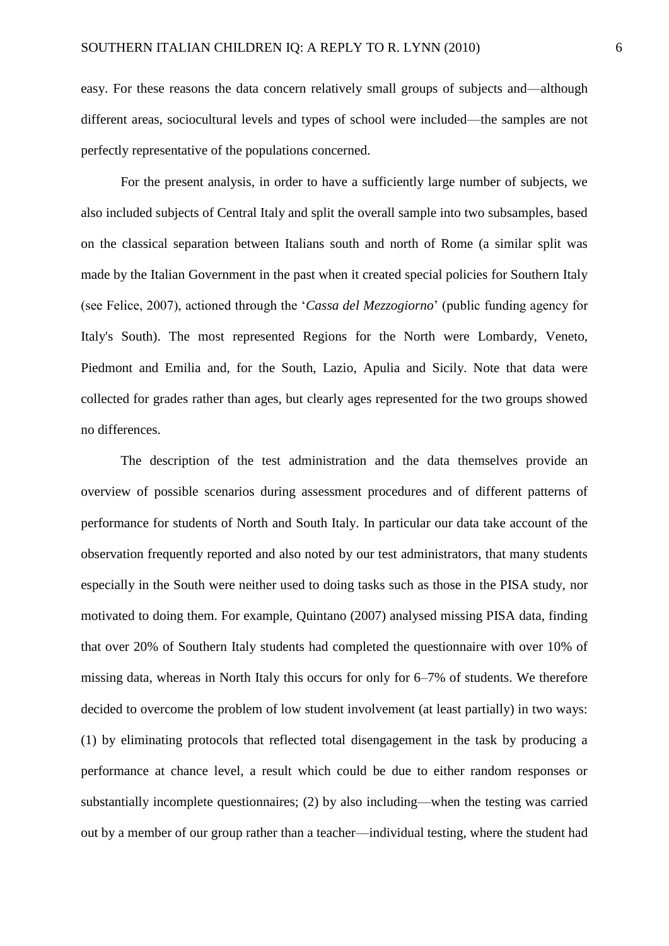easy. For these reasons the data concern relatively small groups of subjects and—although different areas, sociocultural levels and types of school were included—the samples are not perfectly representative of the populations concerned.

For the present analysis, in order to have a sufficiently large number of subjects, we also included subjects of Central Italy and split the overall sample into two subsamples, based on the classical separation between Italians south and north of Rome (a similar split was made by the Italian Government in the past when it created special policies for Southern Italy (see Felice, 2007), actioned through the '*Cassa del Mezzogiorno*' (public funding agency for Italy's South). The most represented Regions for the North were Lombardy, Veneto, Piedmont and Emilia and, for the South, Lazio, Apulia and Sicily. Note that data were collected for grades rather than ages, but clearly ages represented for the two groups showed no differences.

The description of the test administration and the data themselves provide an overview of possible scenarios during assessment procedures and of different patterns of performance for students of North and South Italy. In particular our data take account of the observation frequently reported and also noted by our test administrators, that many students especially in the South were neither used to doing tasks such as those in the PISA study, nor motivated to doing them. For example, Quintano (2007) analysed missing PISA data, finding that over 20% of Southern Italy students had completed the questionnaire with over 10% of missing data, whereas in North Italy this occurs for only for 6–7% of students. We therefore decided to overcome the problem of low student involvement (at least partially) in two ways: (1) by eliminating protocols that reflected total disengagement in the task by producing a performance at chance level, a result which could be due to either random responses or substantially incomplete questionnaires; (2) by also including—when the testing was carried out by a member of our group rather than a teacher—individual testing, where the student had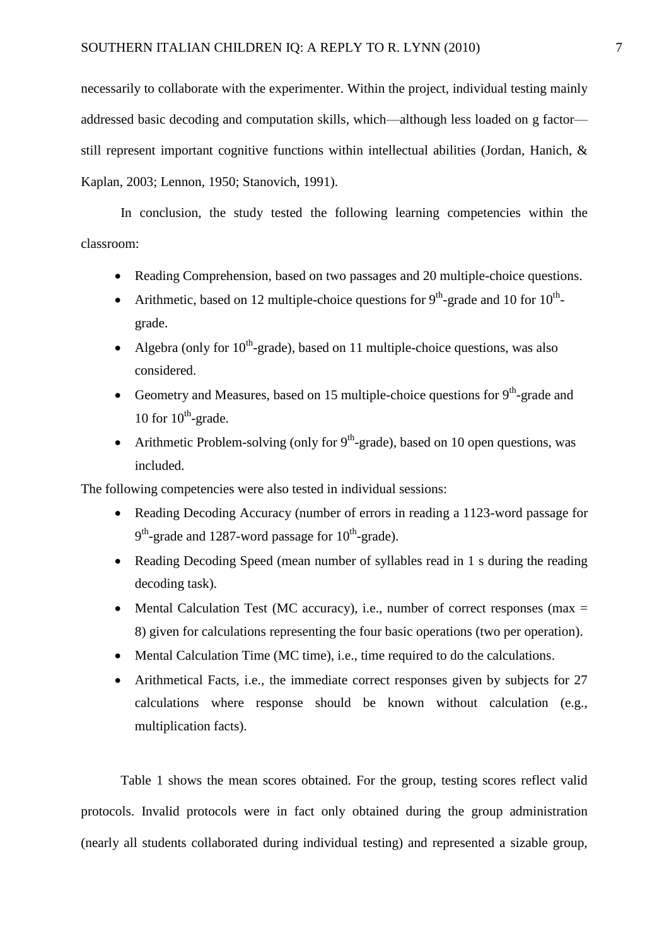necessarily to collaborate with the experimenter. Within the project, individual testing mainly addressed basic decoding and computation skills, which—although less loaded on g factor still represent important cognitive functions within intellectual abilities (Jordan, Hanich, & Kaplan, 2003; Lennon, 1950; Stanovich, 1991).

In conclusion, the study tested the following learning competencies within the classroom:

- Reading Comprehension, based on two passages and 20 multiple-choice questions.
- Arithmetic, based on 12 multiple-choice questions for  $9<sup>th</sup>$ -grade and 10 for  $10<sup>th</sup>$ grade.
- Algebra (only for  $10^{th}$ -grade), based on 11 multiple-choice questions, was also considered.
- Geometry and Measures, based on 15 multiple-choice questions for  $9<sup>th</sup>$ -grade and 10 for  $10^{th}$ -grade.
- Arithmetic Problem-solving (only for  $9<sup>th</sup>$ -grade), based on 10 open questions, was included.

The following competencies were also tested in individual sessions:

- Reading Decoding Accuracy (number of errors in reading a 1123-word passage for  $9<sup>th</sup>$ -grade and 1287-word passage for 10<sup>th</sup>-grade).
- Reading Decoding Speed (mean number of syllables read in 1 s during the reading decoding task).
- Mental Calculation Test (MC accuracy), i.e., number of correct responses (max  $=$ 8) given for calculations representing the four basic operations (two per operation).
- Mental Calculation Time (MC time), i.e., time required to do the calculations.
- Arithmetical Facts, i.e., the immediate correct responses given by subjects for 27 calculations where response should be known without calculation (e.g., multiplication facts).

Table 1 shows the mean scores obtained. For the group, testing scores reflect valid protocols. Invalid protocols were in fact only obtained during the group administration (nearly all students collaborated during individual testing) and represented a sizable group,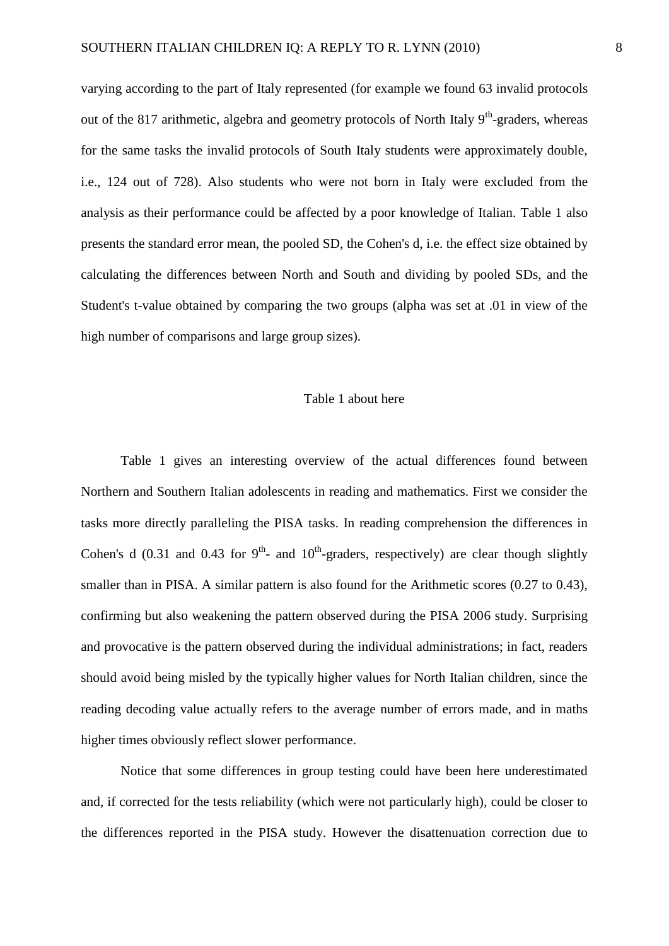varying according to the part of Italy represented (for example we found 63 invalid protocols out of the 817 arithmetic, algebra and geometry protocols of North Italy  $9<sup>th</sup>$ -graders, whereas for the same tasks the invalid protocols of South Italy students were approximately double, i.e., 124 out of 728). Also students who were not born in Italy were excluded from the analysis as their performance could be affected by a poor knowledge of Italian. Table 1 also presents the standard error mean, the pooled SD, the Cohen's d, i.e. the effect size obtained by calculating the differences between North and South and dividing by pooled SDs, and the Student's t-value obtained by comparing the two groups (alpha was set at .01 in view of the high number of comparisons and large group sizes).

# Table 1 about here

Table 1 gives an interesting overview of the actual differences found between Northern and Southern Italian adolescents in reading and mathematics. First we consider the tasks more directly paralleling the PISA tasks. In reading comprehension the differences in Cohen's d (0.31 and 0.43 for  $9<sup>th</sup>$ - and  $10<sup>th</sup>$ -graders, respectively) are clear though slightly smaller than in PISA. A similar pattern is also found for the Arithmetic scores (0.27 to 0.43), confirming but also weakening the pattern observed during the PISA 2006 study. Surprising and provocative is the pattern observed during the individual administrations; in fact, readers should avoid being misled by the typically higher values for North Italian children, since the reading decoding value actually refers to the average number of errors made, and in maths higher times obviously reflect slower performance.

Notice that some differences in group testing could have been here underestimated and, if corrected for the tests reliability (which were not particularly high), could be closer to the differences reported in the PISA study. However the disattenuation correction due to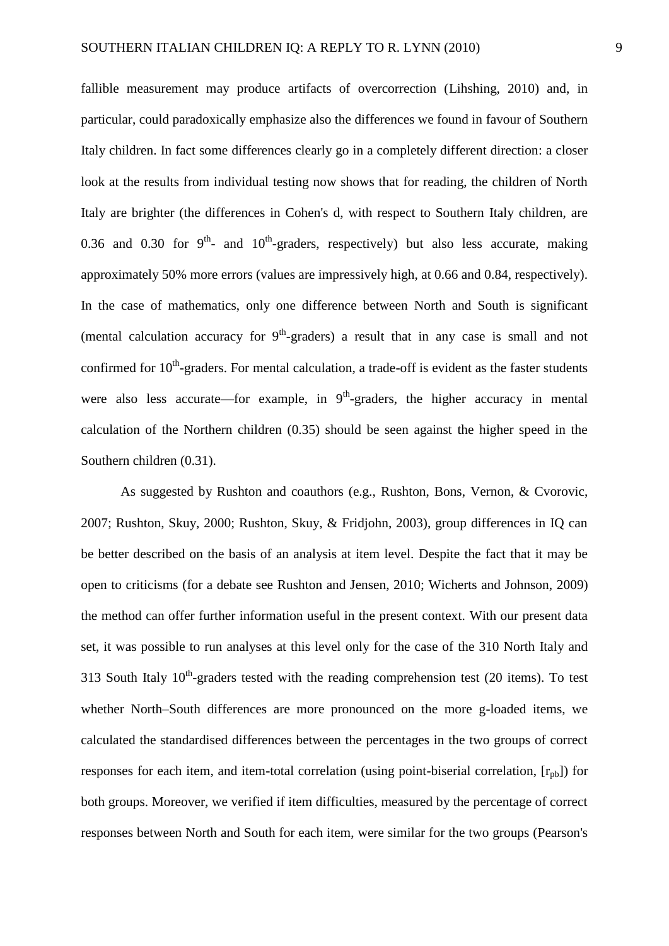fallible measurement may produce artifacts of overcorrection (Lihshing, 2010) and, in particular, could paradoxically emphasize also the differences we found in favour of Southern Italy children. In fact some differences clearly go in a completely different direction: a closer look at the results from individual testing now shows that for reading, the children of North Italy are brighter (the differences in Cohen's d, with respect to Southern Italy children, are 0.36 and 0.30 for  $9^{th}$ - and  $10^{th}$ -graders, respectively) but also less accurate, making approximately 50% more errors (values are impressively high, at 0.66 and 0.84, respectively). In the case of mathematics, only one difference between North and South is significant (mental calculation accuracy for  $9<sup>th</sup>$ -graders) a result that in any case is small and not confirmed for  $10<sup>th</sup>$ -graders. For mental calculation, a trade-off is evident as the faster students were also less accurate—for example, in  $9<sup>th</sup>$ -graders, the higher accuracy in mental calculation of the Northern children (0.35) should be seen against the higher speed in the Southern children (0.31).

As suggested by Rushton and coauthors (e.g., Rushton, Bons, Vernon, & Cvorovic, 2007; Rushton, Skuy, 2000; Rushton, Skuy, & Fridjohn, 2003), group differences in IQ can be better described on the basis of an analysis at item level. Despite the fact that it may be open to criticisms (for a debate see Rushton and Jensen, 2010; Wicherts and Johnson, 2009) the method can offer further information useful in the present context. With our present data set, it was possible to run analyses at this level only for the case of the 310 North Italy and 313 South Italy  $10^{th}$ -graders tested with the reading comprehension test (20 items). To test whether North–South differences are more pronounced on the more g-loaded items, we calculated the standardised differences between the percentages in the two groups of correct responses for each item, and item-total correlation (using point-biserial correlation,  $[r_{pb}]$ ) for both groups. Moreover, we verified if item difficulties, measured by the percentage of correct responses between North and South for each item, were similar for the two groups (Pearson's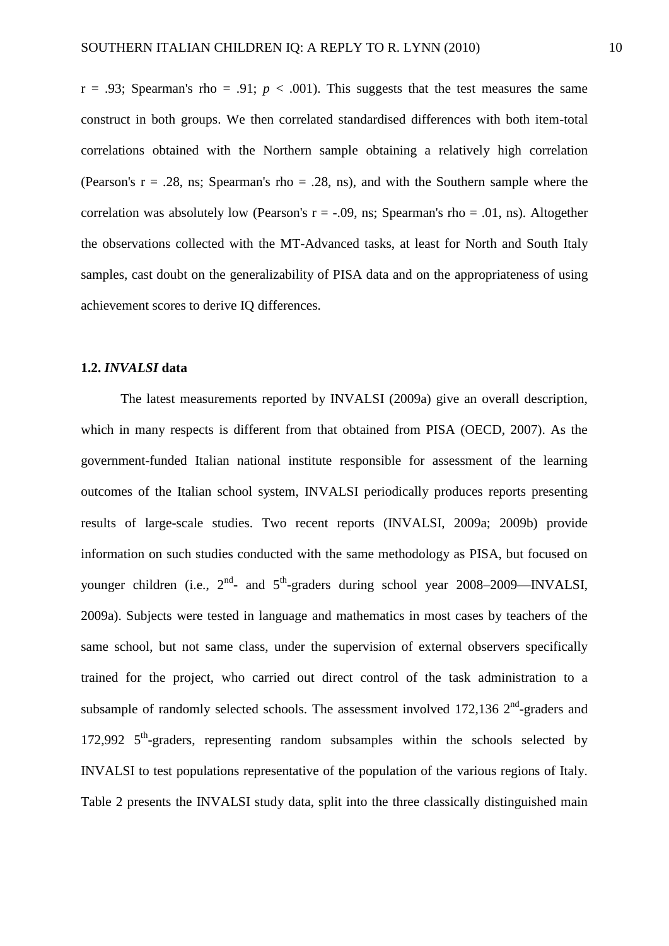$r = .93$ ; Spearman's rho = .91;  $p < .001$ ). This suggests that the test measures the same construct in both groups. We then correlated standardised differences with both item-total correlations obtained with the Northern sample obtaining a relatively high correlation (Pearson's  $r = .28$ , ns; Spearman's rho = .28, ns), and with the Southern sample where the correlation was absolutely low (Pearson's  $r = -.09$ , ns; Spearman's rho = .01, ns). Altogether the observations collected with the MT-Advanced tasks, at least for North and South Italy samples, cast doubt on the generalizability of PISA data and on the appropriateness of using achievement scores to derive IQ differences.

### **1.2.** *INVALSI* **data**

The latest measurements reported by INVALSI (2009a) give an overall description, which in many respects is different from that obtained from PISA (OECD, 2007). As the government-funded Italian national institute responsible for assessment of the learning outcomes of the Italian school system, INVALSI periodically produces reports presenting results of large-scale studies. Two recent reports (INVALSI, 2009a; 2009b) provide information on such studies conducted with the same methodology as PISA, but focused on younger children (i.e.,  $2^{nd}$ - and  $5^{th}$ -graders during school year 2008–2009—INVALSI, 2009a). Subjects were tested in language and mathematics in most cases by teachers of the same school, but not same class, under the supervision of external observers specifically trained for the project, who carried out direct control of the task administration to a subsample of randomly selected schools. The assessment involved  $172,136$   $2<sup>nd</sup>$ -graders and 172,992 5<sup>th</sup>-graders, representing random subsamples within the schools selected by INVALSI to test populations representative of the population of the various regions of Italy. Table 2 presents the INVALSI study data, split into the three classically distinguished main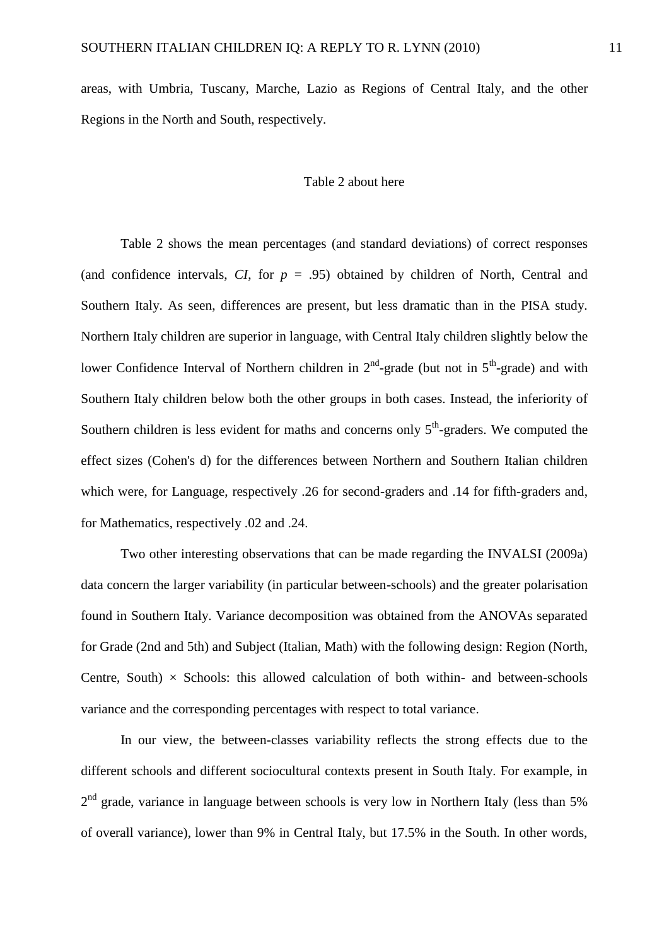areas, with Umbria, Tuscany, Marche, Lazio as Regions of Central Italy, and the other Regions in the North and South, respectively.

## Table 2 about here

Table 2 shows the mean percentages (and standard deviations) of correct responses (and confidence intervals,  $CI$ , for  $p = .95$ ) obtained by children of North, Central and Southern Italy. As seen, differences are present, but less dramatic than in the PISA study. Northern Italy children are superior in language, with Central Italy children slightly below the lower Confidence Interval of Northern children in  $2<sup>nd</sup>$ -grade (but not in  $5<sup>th</sup>$ -grade) and with Southern Italy children below both the other groups in both cases. Instead, the inferiority of Southern children is less evident for maths and concerns only  $5<sup>th</sup>$ -graders. We computed the effect sizes (Cohen's d) for the differences between Northern and Southern Italian children which were, for Language, respectively .26 for second-graders and .14 for fifth-graders and, for Mathematics, respectively .02 and .24.

Two other interesting observations that can be made regarding the INVALSI (2009a) data concern the larger variability (in particular between-schools) and the greater polarisation found in Southern Italy. Variance decomposition was obtained from the ANOVAs separated for Grade (2nd and 5th) and Subject (Italian, Math) with the following design: Region (North, Centre, South)  $\times$  Schools: this allowed calculation of both within- and between-schools variance and the corresponding percentages with respect to total variance.

In our view, the between-classes variability reflects the strong effects due to the different schools and different sociocultural contexts present in South Italy. For example, in  $2<sup>nd</sup>$  grade, variance in language between schools is very low in Northern Italy (less than 5%) of overall variance), lower than 9% in Central Italy, but 17.5% in the South. In other words,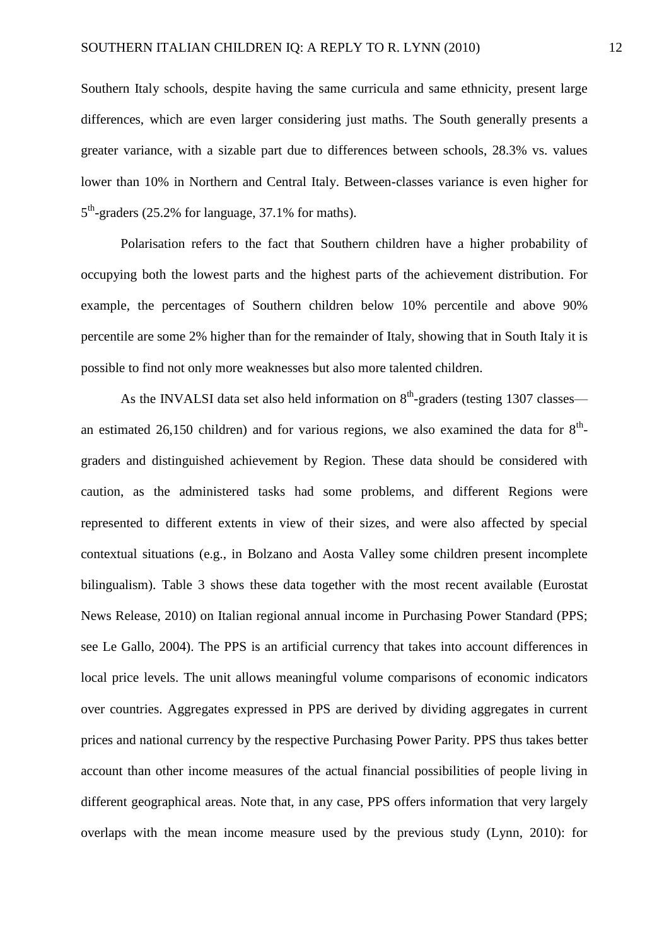Southern Italy schools, despite having the same curricula and same ethnicity, present large differences, which are even larger considering just maths. The South generally presents a greater variance, with a sizable part due to differences between schools, 28.3% vs. values lower than 10% in Northern and Central Italy. Between-classes variance is even higher for 5<sup>th</sup>-graders (25.2% for language, 37.1% for maths).

Polarisation refers to the fact that Southern children have a higher probability of occupying both the lowest parts and the highest parts of the achievement distribution. For example, the percentages of Southern children below 10% percentile and above 90% percentile are some 2% higher than for the remainder of Italy, showing that in South Italy it is possible to find not only more weaknesses but also more talented children.

As the INVALSI data set also held information on  $8<sup>th</sup>$ -graders (testing 1307 classes an estimated 26,150 children) and for various regions, we also examined the data for  $8<sup>th</sup>$ graders and distinguished achievement by Region. These data should be considered with caution, as the administered tasks had some problems, and different Regions were represented to different extents in view of their sizes, and were also affected by special contextual situations (e.g., in Bolzano and Aosta Valley some children present incomplete bilingualism). Table 3 shows these data together with the most recent available (Eurostat News Release, 2010) on Italian regional annual income in Purchasing Power Standard (PPS; see Le Gallo, 2004). The PPS is an artificial currency that takes into account differences in local price levels. The unit allows meaningful volume comparisons of economic indicators over countries. Aggregates expressed in PPS are derived by dividing aggregates in current prices and national currency by the respective Purchasing Power Parity. PPS thus takes better account than other income measures of the actual financial possibilities of people living in different geographical areas. Note that, in any case, PPS offers information that very largely overlaps with the mean income measure used by the previous study (Lynn, 2010): for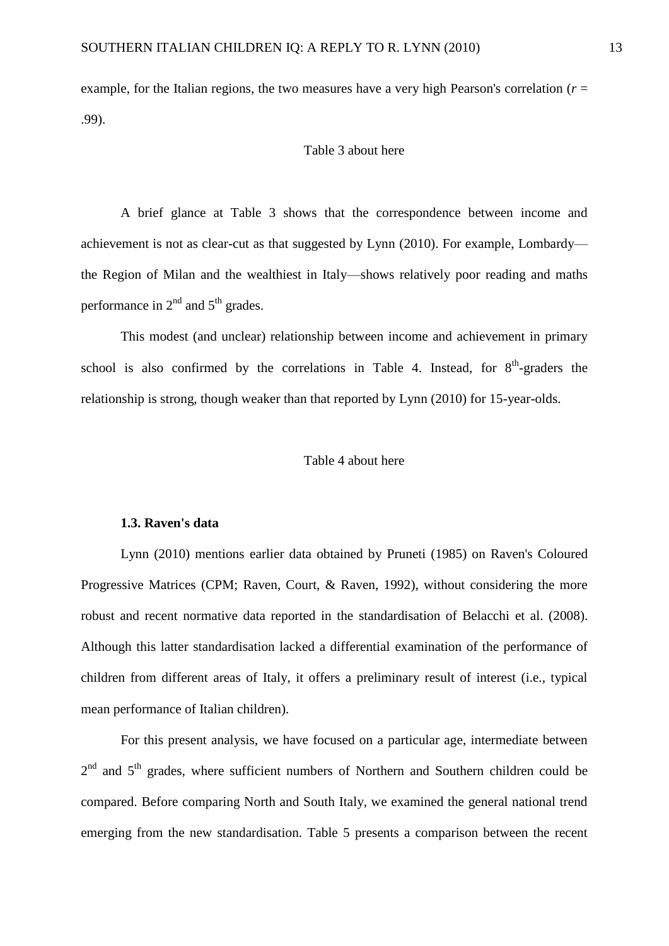example, for the Italian regions, the two measures have a very high Pearson's correlation (*r* = .99).

#### Table 3 about here

A brief glance at Table 3 shows that the correspondence between income and achievement is not as clear-cut as that suggested by Lynn (2010). For example, Lombardy the Region of Milan and the wealthiest in Italy—shows relatively poor reading and maths performance in  $2<sup>nd</sup>$  and  $5<sup>th</sup>$  grades.

This modest (and unclear) relationship between income and achievement in primary school is also confirmed by the correlations in Table 4. Instead, for  $8<sup>th</sup>$ -graders the relationship is strong, though weaker than that reported by Lynn (2010) for 15-year-olds.

## Table 4 about here

#### **1.3. Raven's data**

Lynn (2010) mentions earlier data obtained by Pruneti (1985) on Raven's Coloured Progressive Matrices (CPM; Raven, Court, & Raven, 1992), without considering the more robust and recent normative data reported in the standardisation of Belacchi et al. (2008). Although this latter standardisation lacked a differential examination of the performance of children from different areas of Italy, it offers a preliminary result of interest (i.e., typical mean performance of Italian children).

For this present analysis, we have focused on a particular age, intermediate between  $2<sup>nd</sup>$  and  $5<sup>th</sup>$  grades, where sufficient numbers of Northern and Southern children could be compared. Before comparing North and South Italy, we examined the general national trend emerging from the new standardisation. Table 5 presents a comparison between the recent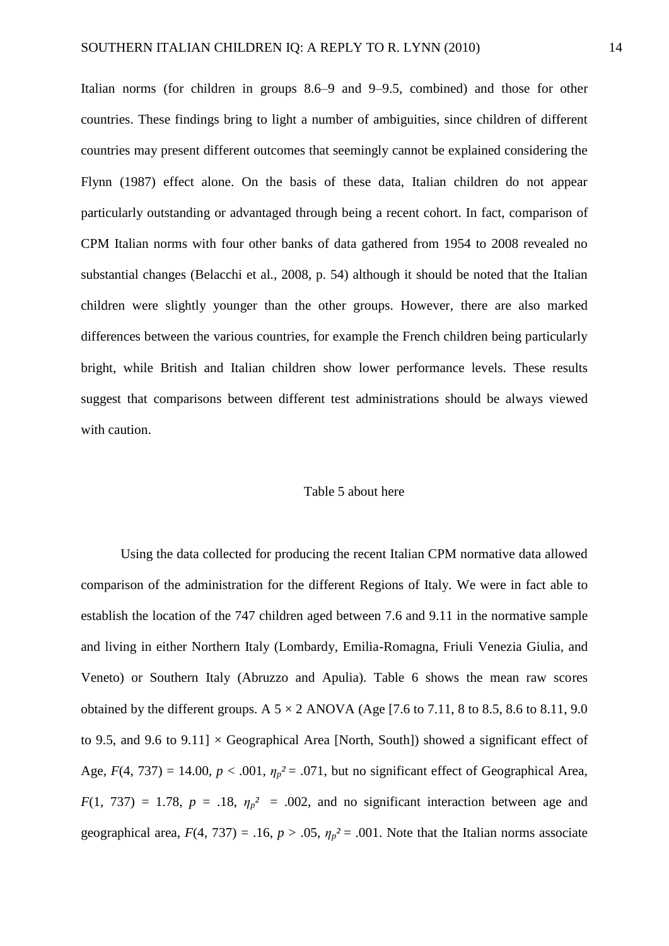Italian norms (for children in groups 8.6–9 and 9–9.5, combined) and those for other countries. These findings bring to light a number of ambiguities, since children of different countries may present different outcomes that seemingly cannot be explained considering the Flynn (1987) effect alone. On the basis of these data, Italian children do not appear particularly outstanding or advantaged through being a recent cohort. In fact, comparison of CPM Italian norms with four other banks of data gathered from 1954 to 2008 revealed no substantial changes (Belacchi et al., 2008, p. 54) although it should be noted that the Italian children were slightly younger than the other groups. However, there are also marked differences between the various countries, for example the French children being particularly bright, while British and Italian children show lower performance levels. These results suggest that comparisons between different test administrations should be always viewed with caution.

#### Table 5 about here

Using the data collected for producing the recent Italian CPM normative data allowed comparison of the administration for the different Regions of Italy. We were in fact able to establish the location of the 747 children aged between 7.6 and 9.11 in the normative sample and living in either Northern Italy (Lombardy, Emilia-Romagna, Friuli Venezia Giulia, and Veneto) or Southern Italy (Abruzzo and Apulia). Table 6 shows the mean raw scores obtained by the different groups. A  $5 \times 2$  ANOVA (Age [7.6 to 7.11, 8 to 8.5, 8.6 to 8.11, 9.0) to 9.5, and 9.6 to 9.11]  $\times$  Geographical Area [North, South]) showed a significant effect of Age,  $F(4, 737) = 14.00$ ,  $p < .001$ ,  $\eta_p^2 = .071$ , but no significant effect of Geographical Area,  $F(1, 737) = 1.78$ ,  $p = .18$ ,  $\eta_p^2 = .002$ , and no significant interaction between age and geographical area,  $F(4, 737) = .16$ ,  $p > .05$ ,  $\eta_p^2 = .001$ . Note that the Italian norms associate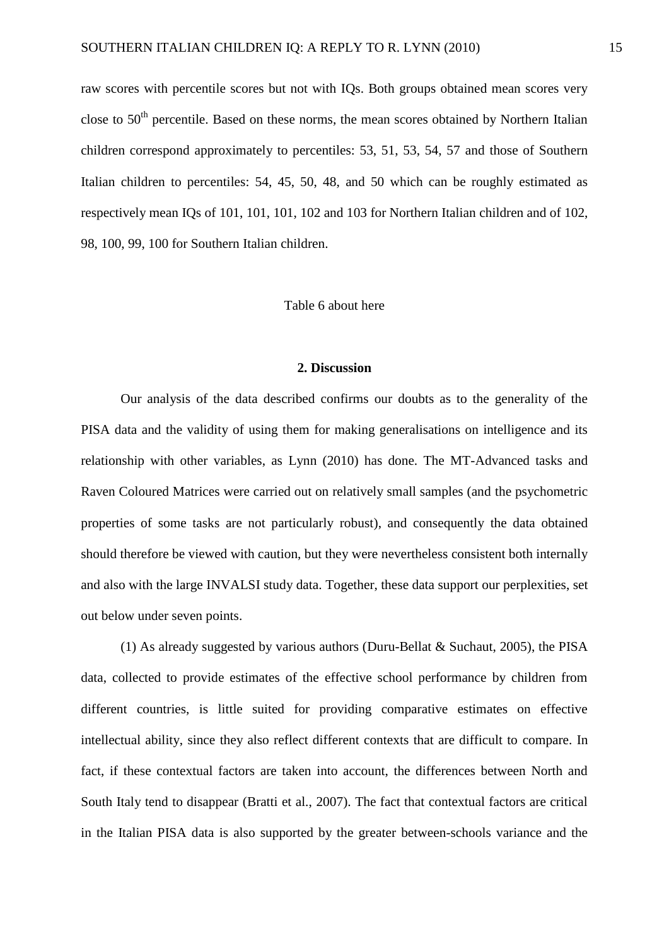raw scores with percentile scores but not with IQs. Both groups obtained mean scores very close to  $50<sup>th</sup>$  percentile. Based on these norms, the mean scores obtained by Northern Italian children correspond approximately to percentiles: 53, 51, 53, 54, 57 and those of Southern Italian children to percentiles: 54, 45, 50, 48, and 50 which can be roughly estimated as respectively mean IQs of 101, 101, 101, 102 and 103 for Northern Italian children and of 102, 98, 100, 99, 100 for Southern Italian children.

#### Table 6 about here

#### **2. Discussion**

Our analysis of the data described confirms our doubts as to the generality of the PISA data and the validity of using them for making generalisations on intelligence and its relationship with other variables, as Lynn (2010) has done. The MT-Advanced tasks and Raven Coloured Matrices were carried out on relatively small samples (and the psychometric properties of some tasks are not particularly robust), and consequently the data obtained should therefore be viewed with caution, but they were nevertheless consistent both internally and also with the large INVALSI study data. Together, these data support our perplexities, set out below under seven points.

(1) As already suggested by various authors (Duru-Bellat & Suchaut, 2005), the PISA data, collected to provide estimates of the effective school performance by children from different countries, is little suited for providing comparative estimates on effective intellectual ability, since they also reflect different contexts that are difficult to compare. In fact, if these contextual factors are taken into account, the differences between North and South Italy tend to disappear (Bratti et al., 2007). The fact that contextual factors are critical in the Italian PISA data is also supported by the greater between-schools variance and the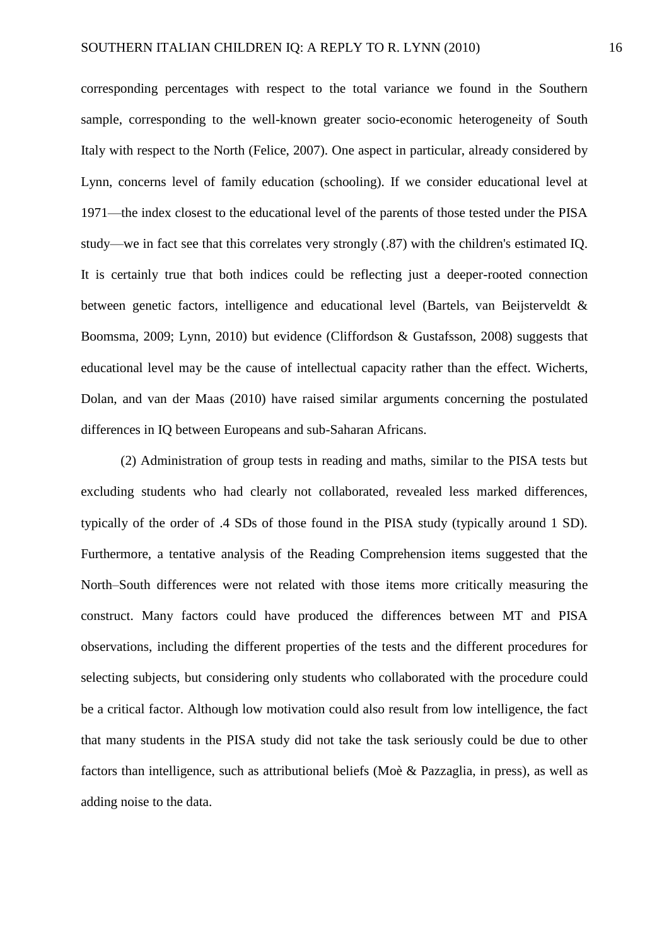corresponding percentages with respect to the total variance we found in the Southern sample, corresponding to the well-known greater socio-economic heterogeneity of South Italy with respect to the North (Felice, 2007). One aspect in particular, already considered by Lynn, concerns level of family education (schooling). If we consider educational level at 1971—the index closest to the educational level of the parents of those tested under the PISA study—we in fact see that this correlates very strongly (.87) with the children's estimated IQ. It is certainly true that both indices could be reflecting just a deeper-rooted connection between genetic factors, intelligence and educational level (Bartels, van Beijsterveldt & Boomsma, 2009; Lynn, 2010) but evidence (Cliffordson & Gustafsson, 2008) suggests that educational level may be the cause of intellectual capacity rather than the effect. Wicherts, Dolan, and van der Maas (2010) have raised similar arguments concerning the postulated differences in IQ between Europeans and sub-Saharan Africans.

(2) Administration of group tests in reading and maths, similar to the PISA tests but excluding students who had clearly not collaborated, revealed less marked differences, typically of the order of .4 SDs of those found in the PISA study (typically around 1 SD). Furthermore, a tentative analysis of the Reading Comprehension items suggested that the North–South differences were not related with those items more critically measuring the construct. Many factors could have produced the differences between MT and PISA observations, including the different properties of the tests and the different procedures for selecting subjects, but considering only students who collaborated with the procedure could be a critical factor. Although low motivation could also result from low intelligence, the fact that many students in the PISA study did not take the task seriously could be due to other factors than intelligence, such as attributional beliefs (Moè & Pazzaglia, in press), as well as adding noise to the data.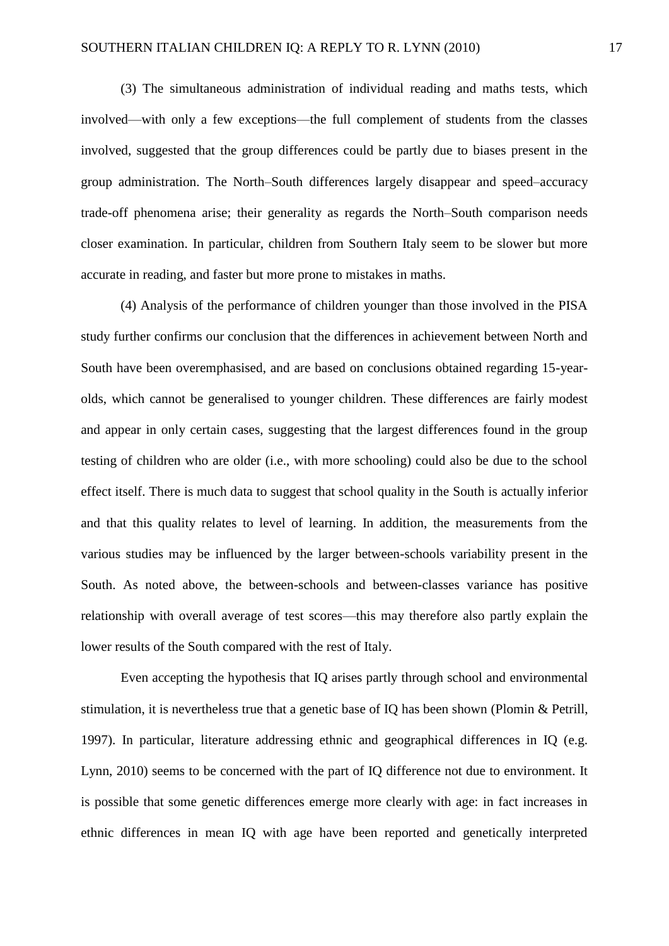(3) The simultaneous administration of individual reading and maths tests, which involved—with only a few exceptions—the full complement of students from the classes involved, suggested that the group differences could be partly due to biases present in the group administration. The North–South differences largely disappear and speed–accuracy trade-off phenomena arise; their generality as regards the North–South comparison needs closer examination. In particular, children from Southern Italy seem to be slower but more accurate in reading, and faster but more prone to mistakes in maths.

(4) Analysis of the performance of children younger than those involved in the PISA study further confirms our conclusion that the differences in achievement between North and South have been overemphasised, and are based on conclusions obtained regarding 15-yearolds, which cannot be generalised to younger children. These differences are fairly modest and appear in only certain cases, suggesting that the largest differences found in the group testing of children who are older (i.e., with more schooling) could also be due to the school effect itself. There is much data to suggest that school quality in the South is actually inferior and that this quality relates to level of learning. In addition, the measurements from the various studies may be influenced by the larger between-schools variability present in the South. As noted above, the between-schools and between-classes variance has positive relationship with overall average of test scores—this may therefore also partly explain the lower results of the South compared with the rest of Italy.

Even accepting the hypothesis that IQ arises partly through school and environmental stimulation, it is nevertheless true that a genetic base of IQ has been shown (Plomin & Petrill, 1997). In particular, literature addressing ethnic and geographical differences in IQ (e.g. Lynn, 2010) seems to be concerned with the part of IQ difference not due to environment. It is possible that some genetic differences emerge more clearly with age: in fact increases in ethnic differences in mean IQ with age have been reported and genetically interpreted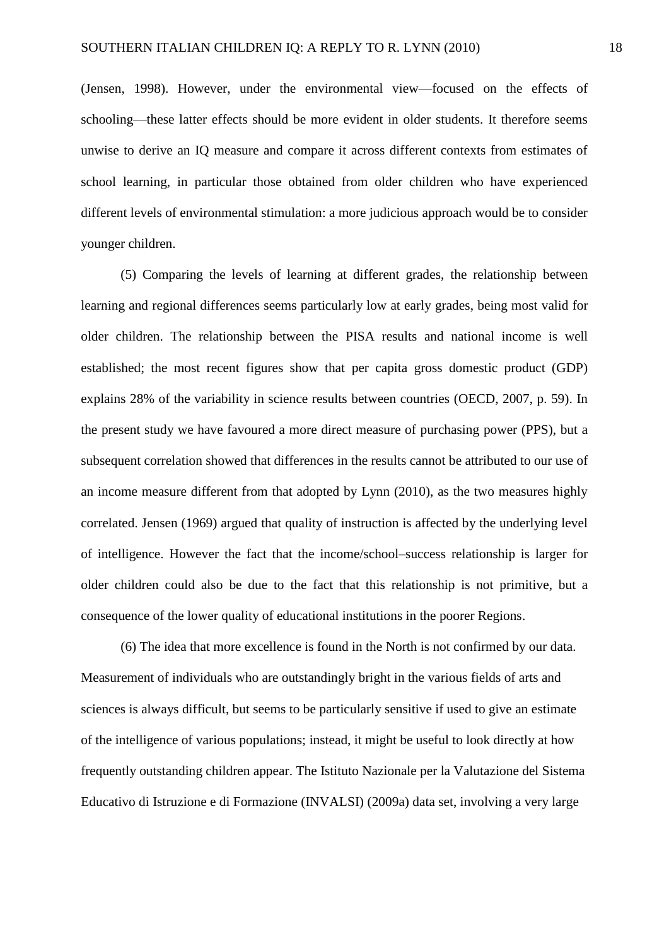(Jensen, 1998). However, under the environmental view—focused on the effects of schooling—these latter effects should be more evident in older students. It therefore seems unwise to derive an IQ measure and compare it across different contexts from estimates of school learning, in particular those obtained from older children who have experienced different levels of environmental stimulation: a more judicious approach would be to consider younger children.

(5) Comparing the levels of learning at different grades, the relationship between learning and regional differences seems particularly low at early grades, being most valid for older children. The relationship between the PISA results and national income is well established; the most recent figures show that per capita gross domestic product (GDP) explains 28% of the variability in science results between countries (OECD, 2007, p. 59). In the present study we have favoured a more direct measure of purchasing power (PPS), but a subsequent correlation showed that differences in the results cannot be attributed to our use of an income measure different from that adopted by Lynn (2010), as the two measures highly correlated. Jensen (1969) argued that quality of instruction is affected by the underlying level of intelligence. However the fact that the income/school–success relationship is larger for older children could also be due to the fact that this relationship is not primitive, but a consequence of the lower quality of educational institutions in the poorer Regions.

(6) The idea that more excellence is found in the North is not confirmed by our data. Measurement of individuals who are outstandingly bright in the various fields of arts and sciences is always difficult, but seems to be particularly sensitive if used to give an estimate of the intelligence of various populations; instead, it might be useful to look directly at how frequently outstanding children appear. The Istituto Nazionale per la Valutazione del Sistema Educativo di Istruzione e di Formazione (INVALSI) (2009a) data set, involving a very large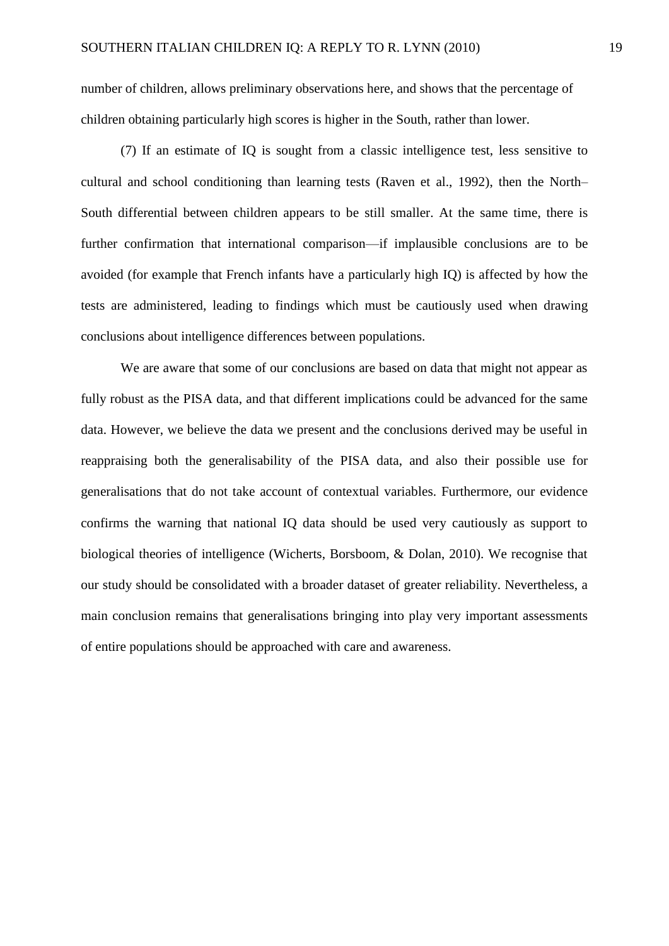number of children, allows preliminary observations here, and shows that the percentage of children obtaining particularly high scores is higher in the South, rather than lower.

(7) If an estimate of IQ is sought from a classic intelligence test, less sensitive to cultural and school conditioning than learning tests (Raven et al., 1992), then the North– South differential between children appears to be still smaller. At the same time, there is further confirmation that international comparison—if implausible conclusions are to be avoided (for example that French infants have a particularly high IQ) is affected by how the tests are administered, leading to findings which must be cautiously used when drawing conclusions about intelligence differences between populations.

We are aware that some of our conclusions are based on data that might not appear as fully robust as the PISA data, and that different implications could be advanced for the same data. However, we believe the data we present and the conclusions derived may be useful in reappraising both the generalisability of the PISA data, and also their possible use for generalisations that do not take account of contextual variables. Furthermore, our evidence confirms the warning that national IQ data should be used very cautiously as support to biological theories of intelligence (Wicherts, Borsboom, & Dolan, 2010). We recognise that our study should be consolidated with a broader dataset of greater reliability. Nevertheless, a main conclusion remains that generalisations bringing into play very important assessments of entire populations should be approached with care and awareness.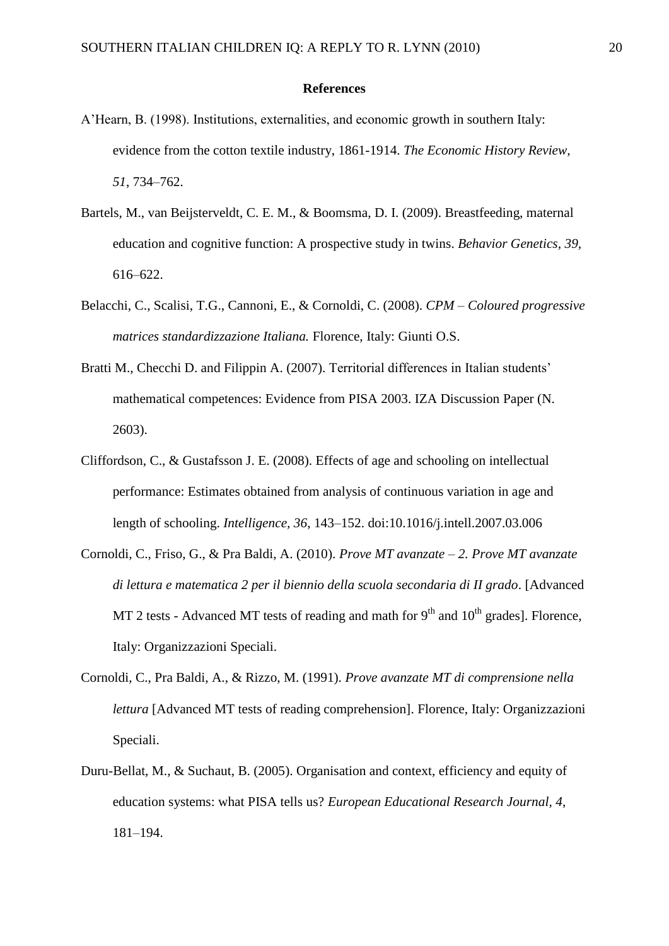#### **References**

- A'Hearn, B. (1998). Institutions, externalities, and economic growth in southern Italy: evidence from the cotton textile industry, 1861-1914. *The Economic History Review, 51*, 734–762.
- Bartels, M., van Beijsterveldt, C. E. M., & Boomsma, D. I. (2009). Breastfeeding, maternal education and cognitive function: A prospective study in twins. *Behavior Genetics, 39,* 616–622.
- Belacchi, C., Scalisi, T.G., Cannoni, E., & Cornoldi, C. (2008). *CPM – Coloured progressive matrices standardizzazione Italiana.* Florence, Italy: Giunti O.S.
- Bratti M., Checchi D. and Filippin A. (2007). Territorial differences in Italian students' mathematical competences: Evidence from PISA 2003. IZA Discussion Paper (N. 2603).
- Cliffordson, C., & Gustafsson J. E. (2008). Effects of age and schooling on intellectual performance: Estimates obtained from analysis of continuous variation in age and length of schooling. *Intelligence, 36*, 143–152. doi:10.1016/j.intell.2007.03.006
- Cornoldi, C., Friso, G., & Pra Baldi, A. (2010). *Prove MT avanzate – 2. Prove MT avanzate di lettura e matematica 2 per il biennio della scuola secondaria di II grado*. [Advanced MT 2 tests - Advanced MT tests of reading and math for  $9<sup>th</sup>$  and  $10<sup>th</sup>$  grades]. Florence, Italy: Organizzazioni Speciali.
- Cornoldi, C., Pra Baldi, A., & Rizzo, M. (1991). *Prove avanzate MT di comprensione nella lettura* [Advanced MT tests of reading comprehension]. Florence, Italy: Organizzazioni Speciali.
- Duru-Bellat, M., & Suchaut, B. (2005). Organisation and context, efficiency and equity of education systems: what PISA tells us? *European Educational Research Journal, 4*, 181–194.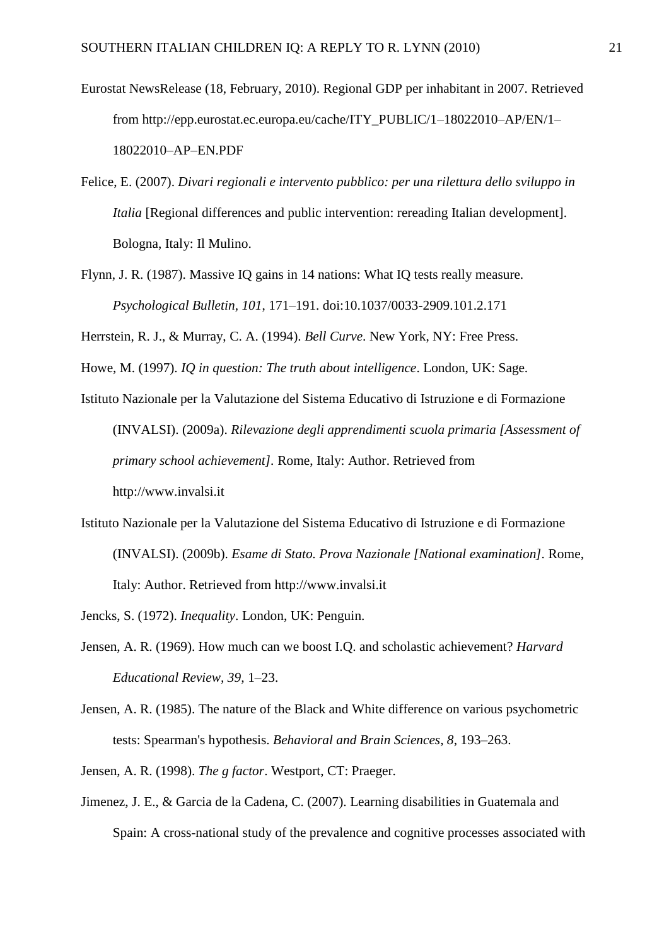- Eurostat NewsRelease (18, February, 2010). Regional GDP per inhabitant in 2007. Retrieved from http://epp.eurostat.ec.europa.eu/cache/ITY\_PUBLIC/1–18022010–AP/EN/1– 18022010–AP–EN.PDF
- Felice, E. (2007). *Divari regionali e intervento pubblico: per una rilettura dello sviluppo in Italia* [Regional differences and public intervention: rereading Italian development]. Bologna, Italy: Il Mulino.
- Flynn, J. R. (1987). Massive IQ gains in 14 nations: What IQ tests really measure. *Psychological Bulletin, 101*, 171–191. doi:10.1037/0033-2909.101.2.171

Herrstein, R. J., & Murray, C. A. (1994). *Bell Curve*. New York, NY: Free Press.

Howe, M. (1997). *IQ in question: The truth about intelligence*. London, UK: Sage.

- Istituto Nazionale per la Valutazione del Sistema Educativo di Istruzione e di Formazione (INVALSI). (2009a). *Rilevazione degli apprendimenti scuola primaria [Assessment of primary school achievement].* Rome, Italy: Author. Retrieved from http://www.invalsi.it
- Istituto Nazionale per la Valutazione del Sistema Educativo di Istruzione e di Formazione (INVALSI). (2009b). *Esame di Stato. Prova Nazionale [National examination].* Rome, Italy: Author. Retrieved from http://www.invalsi.it

Jencks, S. (1972). *Inequality*. London, UK: Penguin.

- Jensen, A. R. (1969). How much can we boost I.Q. and scholastic achievement? *Harvard Educational Review, 39,* 1–23.
- Jensen, A. R. (1985). The nature of the Black and White difference on various psychometric tests: Spearman's hypothesis. *Behavioral and Brain Sciences, 8*, 193–263.
- Jensen, A. R. (1998). *The g factor*. Westport, CT: Praeger.
- Jimenez, J. E., & Garcia de la Cadena, C. (2007). Learning disabilities in Guatemala and Spain: A cross-national study of the prevalence and cognitive processes associated with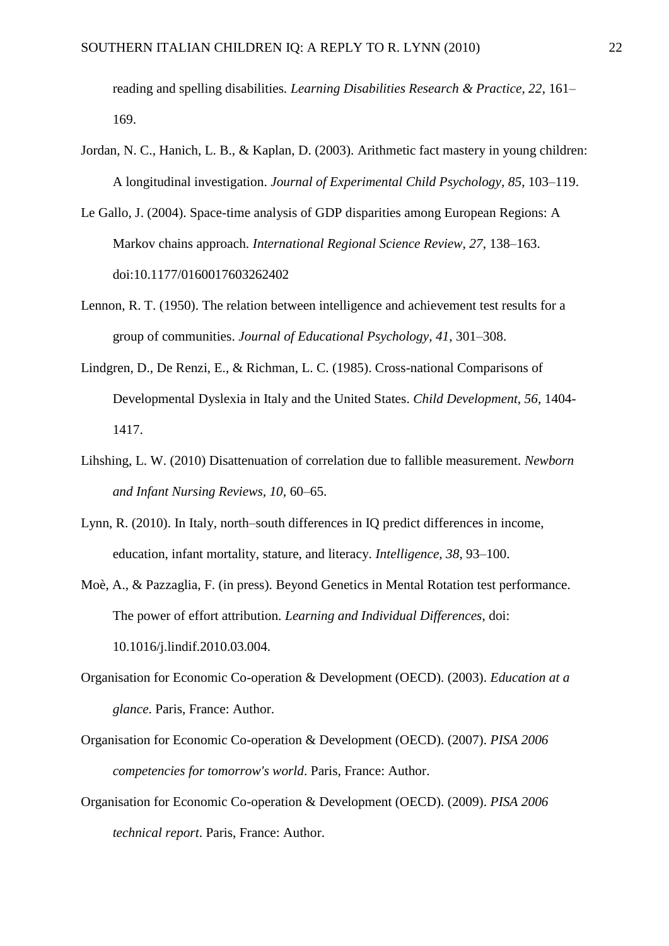reading and spelling disabilities*. Learning Disabilities Research & Practice, 22*, 161– 169.

- Jordan, N. C., Hanich, L. B., & Kaplan, D. (2003). Arithmetic fact mastery in young children: A longitudinal investigation. *Journal of Experimental Child Psychology, 85*, 103–119.
- Le Gallo, J. (2004). Space-time analysis of GDP disparities among European Regions: A Markov chains approach. *International Regional Science Review, 27*, 138–163. doi:10.1177/0160017603262402
- Lennon, R. T. (1950). The relation between intelligence and achievement test results for a group of communities. *Journal of Educational Psychology, 41*, 301–308.
- Lindgren, D., De Renzi, E., & Richman, L. C. (1985). Cross-national Comparisons of Developmental Dyslexia in Italy and the United States. *Child Development, 56,* 1404- 1417.
- Lihshing, L. W. (2010) Disattenuation of correlation due to fallible measurement. *Newborn and Infant Nursing Reviews, 10,* 60–65.
- Lynn, R. (2010). In Italy, north–south differences in IQ predict differences in income, education, infant mortality, stature, and literacy. *Intelligence, 38*, 93–100.
- Moè, A., & Pazzaglia, F. (in press). Beyond Genetics in Mental Rotation test performance. The power of effort attribution. *Learning and Individual Differences*, doi: 10.1016/j.lindif.2010.03.004.
- Organisation for Economic Co-operation & Development (OECD). (2003). *Education at a glance*. Paris, France: Author.
- Organisation for Economic Co-operation & Development (OECD). (2007). *PISA 2006 competencies for tomorrow's world*. Paris, France: Author.
- Organisation for Economic Co-operation & Development (OECD). (2009). *PISA 2006 technical report*. Paris, France: Author.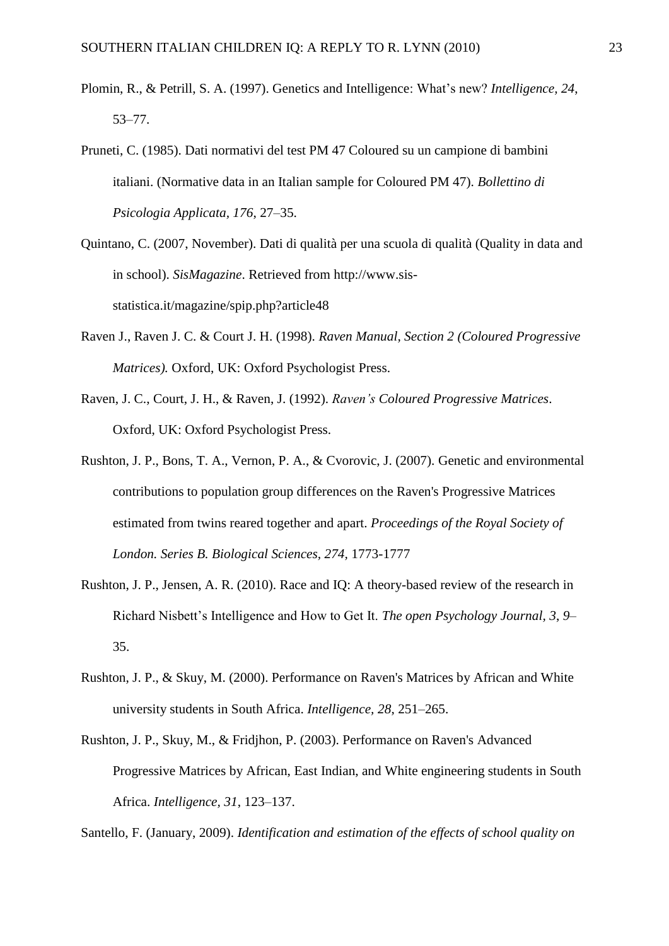- Plomin, R., & Petrill, S. A. (1997). Genetics and Intelligence: What's new? *Intelligence, 24*, 53–77.
- Pruneti, C. (1985). Dati normativi del test PM 47 Coloured su un campione di bambini italiani. (Normative data in an Italian sample for Coloured PM 47). *Bollettino di Psicologia Applicata, 176*, 27–35.
- Quintano, C. (2007, November). Dati di qualità per una scuola di qualità (Quality in data and in school). *SisMagazine*. Retrieved from http://www.sisstatistica.it/magazine/spip.php?article48
- Raven J., Raven J. C. & Court J. H. (1998). *Raven Manual, Section 2 (Coloured Progressive Matrices).* Oxford, UK: Oxford Psychologist Press.
- Raven, J. C., Court, J. H., & Raven, J. (1992). *Raven's Coloured Progressive Matrices*. Oxford, UK: Oxford Psychologist Press.
- Rushton, J. P., Bons, T. A., Vernon, P. A., & Cvorovic, J. (2007). Genetic and environmental contributions to population group differences on the Raven's Progressive Matrices estimated from twins reared together and apart. *Proceedings of the Royal Society of London. Series B. Biological Sciences, 274,* 1773-1777
- Rushton, J. P., Jensen, A. R. (2010). Race and IQ: A theory-based review of the research in Richard Nisbett's Intelligence and How to Get It. *The open Psychology Journal, 3*, *9*– 35.
- Rushton, J. P., & Skuy, M. (2000). Performance on Raven's Matrices by African and White university students in South Africa. *Intelligence, 28*, 251–265.
- Rushton, J. P., Skuy, M., & Fridjhon, P. (2003). Performance on Raven's Advanced Progressive Matrices by African, East Indian, and White engineering students in South Africa. *Intelligence, 31*, 123–137.

Santello, F. (January, 2009). *Identification and estimation of the effects of school quality on*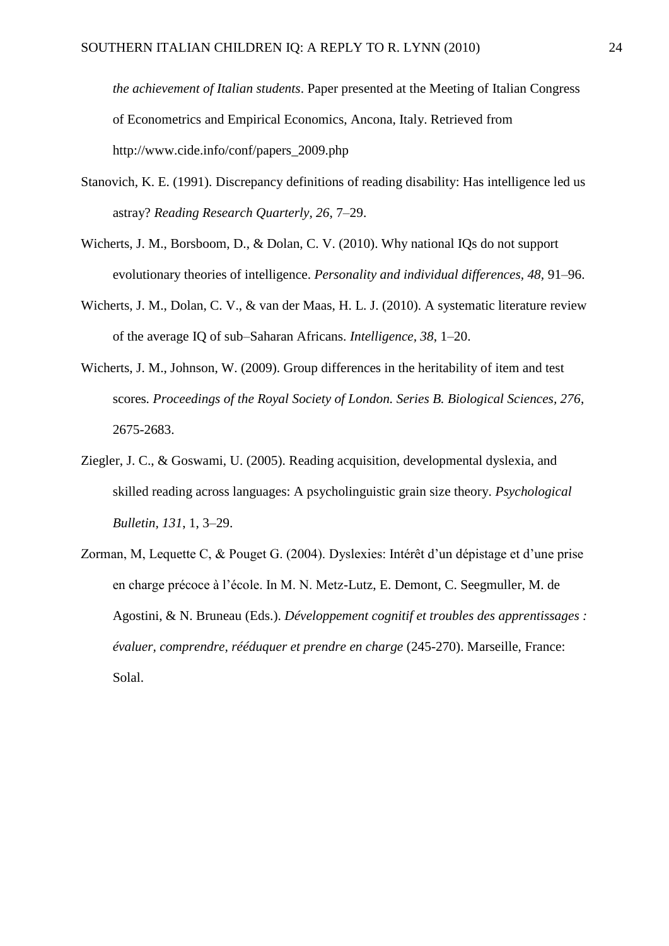*the achievement of Italian students*. Paper presented at the Meeting of Italian Congress of Econometrics and Empirical Economics, Ancona, Italy. Retrieved from http://www.cide.info/conf/papers\_2009.php

- Stanovich, K. E. (1991). Discrepancy definitions of reading disability: Has intelligence led us astray? *Reading Research Quarterly, 26*, 7–29.
- Wicherts, J. M., Borsboom, D., & Dolan, C. V. (2010). Why national IQs do not support evolutionary theories of intelligence. *Personality and individual differences, 48,* 91–96.
- Wicherts, J. M., Dolan, C. V., & van der Maas, H. L. J. (2010). A systematic literature review of the average IQ of sub–Saharan Africans. *Intelligence, 38*, 1–20.
- Wicherts, J. M., Johnson, W. (2009). Group differences in the heritability of item and test scores*. Proceedings of the Royal Society of London. Series B. Biological Sciences, 276*, 2675-2683.
- Ziegler, J. C., & Goswami, U. (2005). Reading acquisition, developmental dyslexia, and skilled reading across languages: A psycholinguistic grain size theory. *Psychological Bulletin, 131*, 1, 3–29.
- Zorman, M, Lequette C, & Pouget G. (2004). Dyslexies: Intérêt d'un dépistage et d'une prise en charge précoce à l'école. In M. N. Metz-Lutz, E. Demont, C. Seegmuller, M. de Agostini, & N. Bruneau (Eds.). *Développement cognitif et troubles des apprentissages : évaluer, comprendre, rééduquer et prendre en charge* (245-270). Marseille, France: Solal.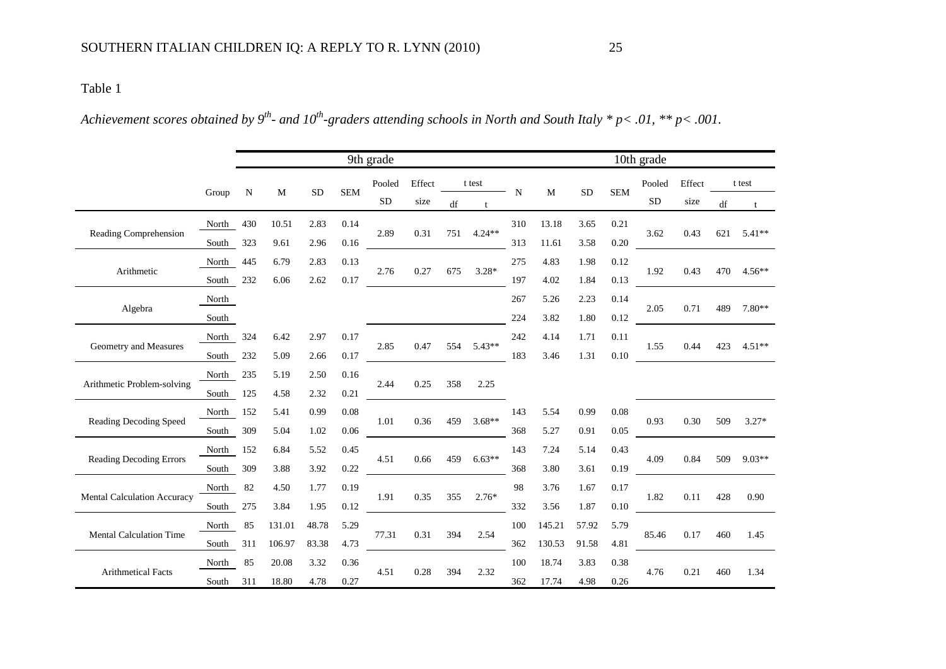*Achievement scores obtained by 9th - and 10th -graders attending schools in North and South Italy \* p< .01, \*\* p< .001.* 

|                                |           | 9th grade |        |            |            |           | 10th grade |     |          |             |        |           |            |           |        |                        |          |
|--------------------------------|-----------|-----------|--------|------------|------------|-----------|------------|-----|----------|-------------|--------|-----------|------------|-----------|--------|------------------------|----------|
|                                | Group     | N         | M      | ${\rm SD}$ | <b>SEM</b> | Pooled    | Effect     |     | t test   | $\mathbf N$ | M      | <b>SD</b> | <b>SEM</b> | Pooled    | Effect |                        | t test   |
|                                |           |           |        |            |            | <b>SD</b> | size       | df  |          |             |        |           |            | <b>SD</b> | size   | $\mathrm{d}\mathrm{f}$ | t        |
| Reading Comprehension          | North     | 430       | 10.51  | 2.83       | 0.14       | 2.89      | 0.31       | 751 | $4.24**$ | 310         | 13.18  | 3.65      | 0.21       | 3.62      | 0.43   | 621                    | $5.41**$ |
|                                | South     | 323       | 9.61   | 2.96       | 0.16       |           |            |     |          | 313         | 11.61  | 3.58      | 0.20       |           |        |                        |          |
| Arithmetic                     | North     | 445       | 6.79   | 2.83       | 0.13       | 2.76      | 0.27       | 675 | $3.28*$  | 275         | 4.83   | 1.98      | 0.12       | 1.92      | 0.43   | 470                    | $4.56**$ |
|                                | South     | 232       | 6.06   | 2.62       | 0.17       |           |            |     |          | 197         | 4.02   | 1.84      | 0.13       |           |        |                        |          |
|                                | North     |           |        |            |            |           |            |     |          | 267         | 5.26   | 2.23      | 0.14       |           |        | 489                    |          |
| Algebra                        | South     |           |        |            |            |           |            |     |          | 224         | 3.82   | 1.80      | 0.12       | 2.05      | 0.71   |                        | 7.80**   |
|                                | North 324 |           | 6.42   | 2.97       | 0.17       | 2.85      | 0.47       | 554 | $5.43**$ | 242         | 4.14   | 1.71      | 0.11       | 1.55      |        | 423                    | $4.51**$ |
| Geometry and Measures          | South 232 |           | 5.09   | 2.66       | 0.17       |           |            |     |          | 183         | 3.46   | 1.31      | 0.10       |           | 0.44   |                        |          |
| Arithmetic Problem-solving     | North     | 235       | 5.19   | 2.50       | 0.16       | 2.44      | 0.25       | 358 | 2.25     |             |        |           |            |           |        |                        |          |
|                                | South     | 125       | 4.58   | 2.32       | 0.21       |           |            |     |          |             |        |           |            |           |        |                        |          |
| Reading Decoding Speed         | North 152 |           | 5.41   | 0.99       | 0.08       | 1.01      | 0.36       | 459 | $3.68**$ | 143         | 5.54   | 0.99      | 0.08       | 0.93      | 0.30   | 509                    | $3.27*$  |
|                                | South     | 309       | 5.04   | 1.02       | 0.06       |           |            |     |          | 368         | 5.27   | 0.91      | 0.05       |           |        |                        |          |
| <b>Reading Decoding Errors</b> | North 152 |           | 6.84   | 5.52       | 0.45       |           | 0.66       | 459 | $6.63**$ | 143         | 7.24   | 5.14      | 0.43       | 4.09      | 0.84   | 509                    | $9.03**$ |
|                                | South     | 309       | 3.88   | 3.92       | 0.22       | 4.51      |            |     |          | 368         | 3.80   | 3.61      | 0.19       |           |        |                        |          |
|                                | North     | 82        | 4.50   | 1.77       | 0.19       |           |            |     |          | 98          | 3.76   | 1.67      | 0.17       |           |        |                        |          |
| Mental Calculation Accuracy    | South     | 275       | 3.84   | 1.95       | 0.12       | 1.91      | 0.35       | 355 | $2.76*$  | 332         | 3.56   | 1.87      | 0.10       | 1.82      | 0.11   | 428                    | 0.90     |
| <b>Mental Calculation Time</b> | North     | 85        | 131.01 | 48.78      | 5.29       |           |            |     |          | 100         | 145.21 | 57.92     | 5.79       |           |        |                        |          |
|                                | South     | 311       | 106.97 | 83.38      | 4.73       | 77.31     | 0.31       | 394 | 2.54     | 362         | 130.53 | 91.58     | 4.81       | 85.46     | 0.17   | 460                    | 1.45     |
|                                | North     | 85        | 20.08  | 3.32       | 0.36       |           |            |     |          | 100         | 18.74  | 3.83      | 0.38       |           |        |                        |          |
| <b>Arithmetical Facts</b>      | South     | 311       | 18.80  | 4.78       | 0.27       | 4.51      | 0.28       | 394 | 2.32     | 362         | 17.74  | 4.98      | 0.26       | 4.76      | 0.21   | 460                    | 1.34     |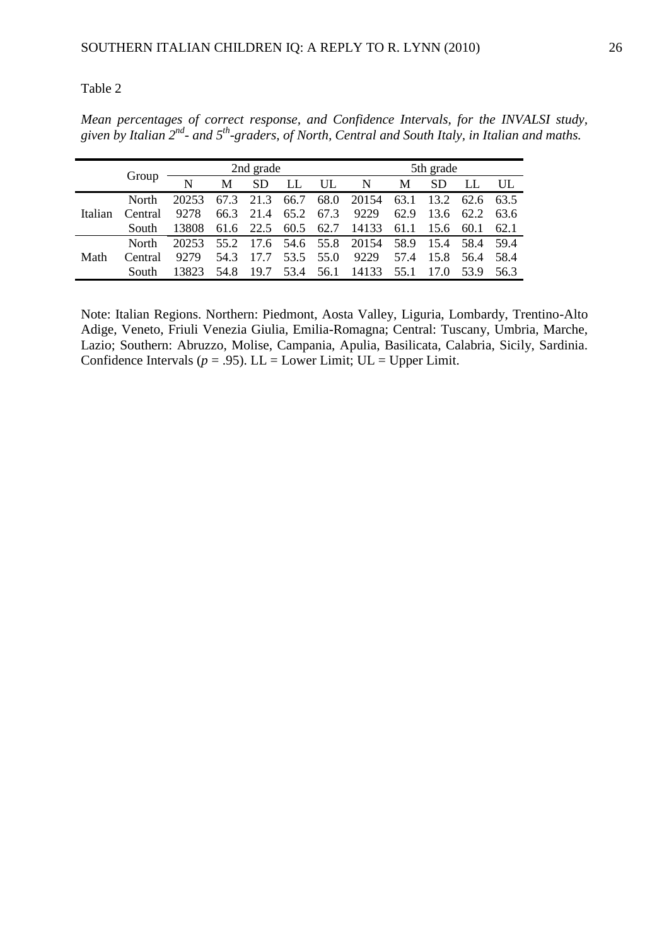*Mean percentages of correct response, and Confidence Intervals, for the INVALSI study, given by Italian 2nd - and 5th -graders, of North, Central and South Italy, in Italian and maths.*

|         |              | 2nd grade   |      |           |           |           | 5th grade                 |      |           |           |      |  |  |
|---------|--------------|-------------|------|-----------|-----------|-----------|---------------------------|------|-----------|-----------|------|--|--|
|         | Group        | $\mathbf N$ | M    | <b>SD</b> | LL        | UL        | $\mathbf N$               | M    | <b>SD</b> | LL        | UL   |  |  |
| Italian | North        | 20253       |      | 67.3 21.3 | 66.7      |           | 68.0 20154 63.1           |      | 13.2      | 62.6 63.5 |      |  |  |
|         | Central      | 9278        | 66.3 | 21.4      | 65.2      | 67.3      | 9229                      | 62.9 | 13.6      | 62.2      | 63.6 |  |  |
|         | South        | 13808       |      | 61.6 22.5 |           | 60.5 62.7 | 14133                     | 61.1 | 15.6      | 60.1      | 62.1 |  |  |
|         | <b>North</b> | 20253       | 55.2 |           |           |           | 17.6 54.6 55.8 20154 58.9 |      |           | 15.4 58.4 | 59.4 |  |  |
| Math    | Central      | 9279        | 54.3 |           | 53.5      | 55.0      | 9229                      | 57.4 | 15.8      | 56.4      | 58.4 |  |  |
|         | <b>South</b> | 13823       | 54.8 | 19.7      | 53.4 56.1 |           | 14133                     | 55.1 | 17.0      | 53.9      | 56.3 |  |  |

Note: Italian Regions. Northern: Piedmont, Aosta Valley, Liguria, Lombardy, Trentino-Alto Adige, Veneto, Friuli Venezia Giulia, Emilia-Romagna; Central: Tuscany, Umbria, Marche, Lazio; Southern: Abruzzo, Molise, Campania, Apulia, Basilicata, Calabria, Sicily, Sardinia. Confidence Intervals ( $p = .95$ ). LL = Lower Limit; UL = Upper Limit.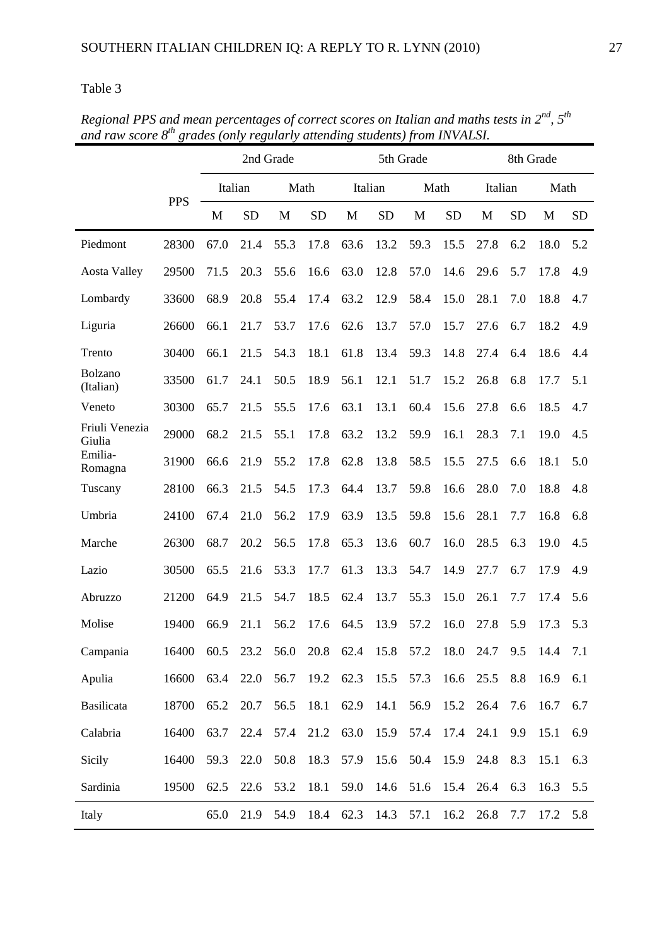|                          |            | 2nd Grade |           |      |           | 5th Grade                               |           |      |           | 8th Grade |           |      |           |
|--------------------------|------------|-----------|-----------|------|-----------|-----------------------------------------|-----------|------|-----------|-----------|-----------|------|-----------|
|                          |            |           | Italian   |      | Math      | Italian                                 |           |      | Math      | Italian   |           | Math |           |
|                          | <b>PPS</b> | M         | <b>SD</b> | M    | <b>SD</b> | M                                       | <b>SD</b> | M    | <b>SD</b> | M         | <b>SD</b> | M    | <b>SD</b> |
| Piedmont                 | 28300      | 67.0      | 21.4      | 55.3 | 17.8      | 63.6                                    | 13.2      | 59.3 | 15.5      | 27.8      | 6.2       | 18.0 | 5.2       |
| <b>Aosta Valley</b>      | 29500      | 71.5      | 20.3      | 55.6 | 16.6      | 63.0                                    | 12.8      | 57.0 | 14.6      | 29.6      | 5.7       | 17.8 | 4.9       |
| Lombardy                 | 33600      | 68.9      | 20.8      | 55.4 | 17.4      | 63.2                                    | 12.9      | 58.4 | 15.0      | 28.1      | 7.0       | 18.8 | 4.7       |
| Liguria                  | 26600      | 66.1      | 21.7      | 53.7 | 17.6      | 62.6                                    | 13.7      | 57.0 | 15.7      | 27.6      | 6.7       | 18.2 | 4.9       |
| Trento                   | 30400      | 66.1      | 21.5      | 54.3 | 18.1      | 61.8                                    | 13.4      | 59.3 | 14.8      | 27.4      | 6.4       | 18.6 | 4.4       |
| Bolzano<br>(Italian)     | 33500      | 61.7      | 24.1      | 50.5 | 18.9      | 56.1                                    | 12.1      | 51.7 | 15.2      | 26.8      | 6.8       | 17.7 | 5.1       |
| Veneto                   | 30300      | 65.7      | 21.5      | 55.5 | 17.6      | 63.1                                    | 13.1      | 60.4 | 15.6      | 27.8      | 6.6       | 18.5 | 4.7       |
| Friuli Venezia<br>Giulia | 29000      | 68.2      | 21.5      | 55.1 | 17.8      | 63.2                                    | 13.2      | 59.9 | 16.1      | 28.3      | 7.1       | 19.0 | 4.5       |
| Emilia-<br>Romagna       | 31900      | 66.6      | 21.9      | 55.2 | 17.8      | 62.8                                    | 13.8      | 58.5 | 15.5      | 27.5      | 6.6       | 18.1 | 5.0       |
| Tuscany                  | 28100      | 66.3      | 21.5      | 54.5 | 17.3      | 64.4                                    | 13.7      | 59.8 | 16.6      | 28.0      | 7.0       | 18.8 | 4.8       |
| Umbria                   | 24100      | 67.4      | 21.0      | 56.2 | 17.9      | 63.9                                    | 13.5      | 59.8 | 15.6      | 28.1      | 7.7       | 16.8 | 6.8       |
| Marche                   | 26300      | 68.7      | 20.2      | 56.5 | 17.8      | 65.3                                    | 13.6      | 60.7 | 16.0      | 28.5      | 6.3       | 19.0 | 4.5       |
| Lazio                    | 30500      | 65.5      | 21.6      | 53.3 | 17.7      | 61.3                                    | 13.3      | 54.7 | 14.9      | 27.7      | 6.7       | 17.9 | 4.9       |
| Abruzzo                  | 21200      | 64.9      | 21.5      | 54.7 | 18.5      | 62.4                                    | 13.7      | 55.3 | 15.0      | 26.1      | 7.7       | 17.4 | 5.6       |
| Molise                   | 19400      | 66.9      | 21.1      | 56.2 | 17.6      | 64.5                                    | 13.9      | 57.2 | 16.0      | 27.8      | 5.9       | 17.3 | 5.3       |
| Campania                 | 16400      |           |           |      |           | 60.5 23.2 56.0 20.8 62.4 15.8 57.2 18.0 |           |      |           | 24.7      | 9.5       | 14.4 | 7.1       |
| Apulia                   | 16600      | 63.4      | 22.0      | 56.7 | 19.2      | 62.3                                    | 15.5      | 57.3 | 16.6      | 25.5      | 8.8       | 16.9 | 6.1       |
| Basilicata               | 18700      | 65.2      | 20.7      | 56.5 | 18.1      | 62.9                                    | 14.1      | 56.9 | 15.2      | 26.4      | 7.6       | 16.7 | 6.7       |
| Calabria                 | 16400      | 63.7      | 22.4      | 57.4 | 21.2      | 63.0                                    | 15.9      | 57.4 | 17.4      | 24.1      | 9.9       | 15.1 | 6.9       |
| Sicily                   | 16400      | 59.3      | 22.0      | 50.8 | 18.3      | 57.9                                    | 15.6      | 50.4 | 15.9      | 24.8      | 8.3       | 15.1 | 6.3       |
| Sardinia                 | 19500      | 62.5      | 22.6      | 53.2 | 18.1      | 59.0                                    | 14.6      | 51.6 | 15.4      | 26.4      | 6.3       | 16.3 | 5.5       |
| Italy                    |            | 65.0      | 21.9      | 54.9 | 18.4      | 62.3                                    | 14.3      | 57.1 | 16.2      | 26.8      | 7.7       | 17.2 | 5.8       |

*Regional PPS and mean percentages of correct scores on Italian and maths tests in 2nd, 5th and raw score 8 th grades (only regularly attending students) from INVALSI.*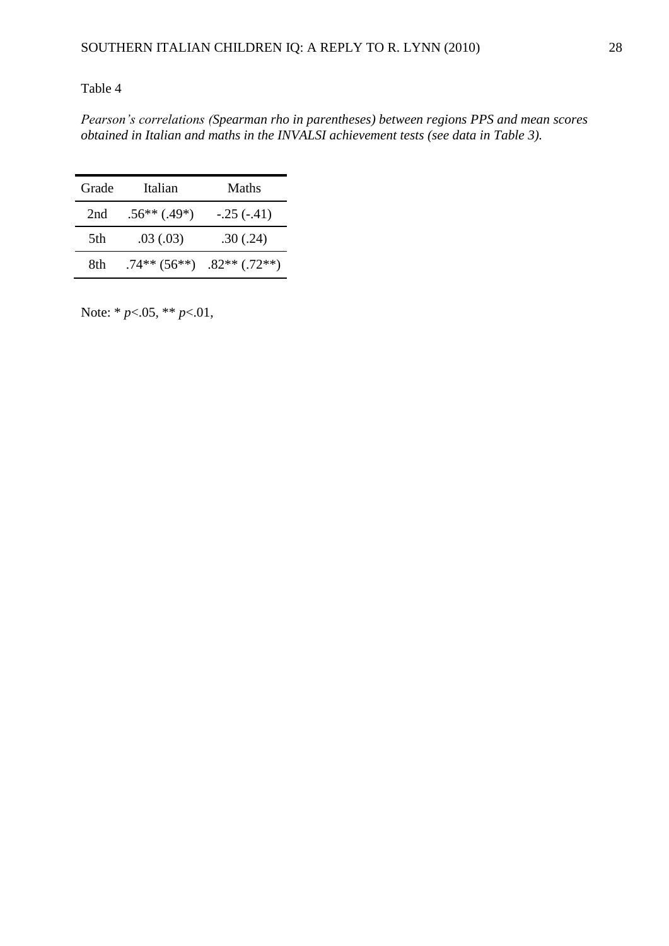*Pearson's correlations (Spearman rho in parentheses) between regions PPS and mean scores obtained in Italian and maths in the INVALSI achievement tests (see data in Table 3).*

| Grade | Italian         | Maths           |
|-------|-----------------|-----------------|
| 2nd   | $.56**(.49*)$   | $-.25(-.41)$    |
| 5th   | .03(0.03)       | .30(.24)        |
| 8th   | $.74***$ (56**) | $.82**$ (.72**) |

Note: \* *p*<.05, \*\* *p*<.01,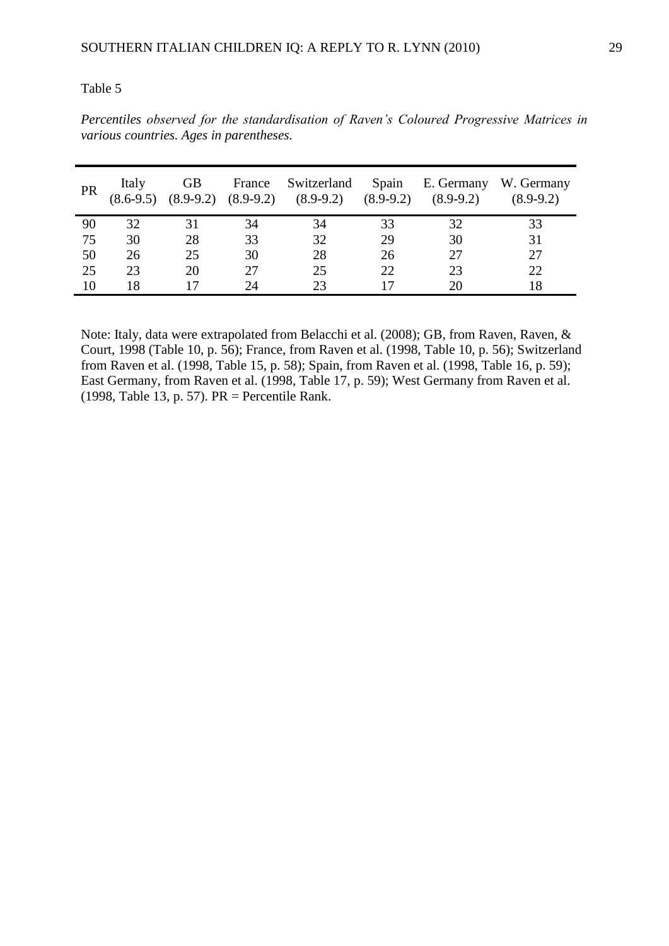*Percentiles observed for the standardisation of Raven's Coloured Progressive Matrices in various countries. Ages in parentheses.* 

| <b>PR</b> | Italy<br>$(8.6-9.5)$ | <b>GB</b><br>$(8.9-9.2)$ | France<br>$(8.9-9.2)$ | Switzerland<br>$(8.9-9.2)$ | Spain<br>$(8.9-9.2)$ | E. Germany<br>$(8.9-9.2)$ | W. Germany<br>$(8.9-9.2)$ |
|-----------|----------------------|--------------------------|-----------------------|----------------------------|----------------------|---------------------------|---------------------------|
| 90        | 32                   |                          | 34                    | 34                         | 33                   | 32                        | 33                        |
| 75        | 30                   | 28                       | 33                    | 32                         | 29                   | 30                        | 31                        |
| 50        | 26                   | 25                       | 30                    | 28                         | 26                   | 27                        | 27                        |
| 25        | 23                   | 20                       | 27                    | 25                         | 22                   | 23                        | 22                        |
| 10        | 18                   |                          | 24                    | つつ                         |                      | 20                        | 18                        |

Note: Italy, data were extrapolated from Belacchi et al. (2008); GB, from Raven, Raven, & Court, 1998 (Table 10, p. 56); France, from Raven et al. (1998, Table 10, p. 56); Switzerland from Raven et al. (1998, Table 15, p. 58); Spain, from Raven et al. (1998, Table 16, p. 59); East Germany, from Raven et al. (1998, Table 17, p. 59); West Germany from Raven et al. (1998, Table 13, p. 57). PR = Percentile Rank.